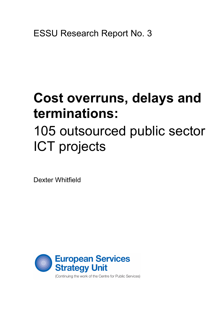ESSU Research Report No. 3

# **Cost overruns, delays and terminations:**

# 105 outsourced public sector ICT projects

Dexter Whitfield



(Continuing the work of the Centre for Public Services)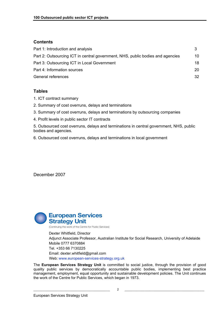#### **Contents**

| Part 1: Introduction and analysis                                              |    |
|--------------------------------------------------------------------------------|----|
| Part 2: Outsourcing ICT in central government, NHS, public bodies and agencies | 10 |
| Part 3: Outsourcing ICT in Local Government                                    | 18 |
| Part 4: Information sources                                                    | 20 |
| General references                                                             | 32 |

#### **Tables**

- 1. ICT contract summary
- 2. Summary of cost overruns, delays and terminations
- 3. Summary of cost overruns, delays and terminations by outsourcing companies
- 4. Profit levels in public sector IT contracts

5. Outsourced cost overruns, delays and terminations in central government, NHS, public bodies and agencies.

6. Outsourced cost overruns, delays and terminations in local government

December 2007



 Dexter Whitfield, Director Adjunct Associate Professor, Australian Institute for Social Research, University of Adelaide Mobile 0777 6370884 Tel. +353 66 7130225 Email: dexter.whitfield@gmail.com Web: www.european-services-strategy.org.uk

The **European Services Strategy Unit** is committed to social justice, through the provision of good quality public services by democratically accountable public bodies, implementing best practice management, employment, equal opportunity and sustainable development policies. The Unit continues the work of the Centre for Public Services, which began in 1973.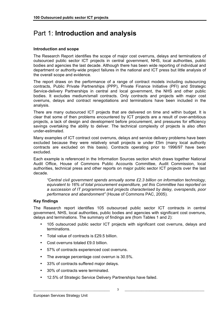## Part 1: **Introduction and analysis**

#### **Introduction and scope**

The Research Report identifies the scope of major cost overruns, delays and terminations of outsourced public sector ICT projects in central government, NHS, local authorities, public bodies and agencies the last decade. Although there has been wide reporting of individual and department or authority-wide project failures in the national and ICT press but little analysis of the overall scope and evidence.

The report draws on the performance of a range of contract models including outsourcing contracts, Public Private Partnerships (PPP), Private Finance Initiative (PFI) and Strategic Service-delivery Partnerships in central and local government, the NHS and other public bodies. It excludes medium/small contracts. Only contracts and projects with major cost overruns, delays and contract renegotiations and terminations have been included in the analysis.

There are many outsourced ICT projects that are delivered on time and within budget. It is clear that some of then problems encountered by ICT projects are a result of over-ambitious projects, a lack of design and development before procurement, and pressures for efficiency savings overtaking the ability to deliver. The technical complexity of projects is also often under-estimated.

Many examples of ICT contract cost overruns, delays and service delivery problems have been excluded because they were relatively small projects ie under £5m (many local authority contracts are excluded on this basis). Contracts operating prior to 1996/97 have been excluded.

Each example is referenced in the Information Sources section which draws together National Audit Office, House of Commons Public Accounts Committee, Audit Commission, local authorities, technical press and other reports on major public sector ICT projects over the last decade.

*"Central civil government spends annually some £2.3 billion on information technology, equivalent to 16% of total procurement expenditure, yet this Committee has reported on a succession of IT programmes and projects characterised by delay, overspends, poor performance and abandonment"* (House of Commons PAC, 2005).

#### **Key findings**

The Research report identifies 105 outsourced public sector ICT contracts in central government, NHS, local authorities, public bodies and agencies with significant cost overruns, delays and terminations. The summary of findings are (from Tables 1 and 2):

- 105 outsourced public sector ICT projects with significant cost overruns, delays and terminations.
- Total value of contracts is £29.5 billion.
- Cost overruns totaled £9.0 billion.
- 57% of contracts experienced cost overruns.
- The average percentage cost overrun is 30.5%.
- 33% of contracts suffered major delays.
- 30% of contracts were terminated.
- 12.5% of Strategic Service Delivery Partnerships have failed.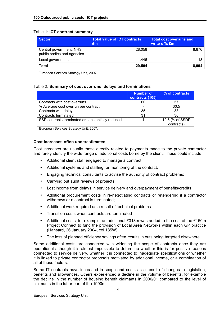#### Table 1: **ICT contract summary**

| <b>Sector</b>                                         | Total value of ICT contracts<br>Em | <b>Total cost overruns and</b><br>write-offs £m |
|-------------------------------------------------------|------------------------------------|-------------------------------------------------|
| Central government, NHS<br>public bodies and agencies | 28.058                             | 8.876                                           |
| Local government                                      | 1.446                              | 18                                              |
| <b>Total</b>                                          | 29,504                             | 8,994                                           |

European Services Strategy Unit, 2007.

#### Table 2: **Summary of cost overruns, delays and terminations**

|                                                   | <b>Number of</b><br>contracts (105) | % of contracts  |
|---------------------------------------------------|-------------------------------------|-----------------|
| Contracts with cost overruns                      | 60                                  | 57              |
| % Average cost overrun per contract               |                                     | 30.5            |
| Contracts with delays                             | 35                                  | 33              |
| Contracts terminated                              | 31                                  | 30              |
| SSP contracts terminated or substantially reduced | 4                                   | 12.5 (% of SSDP |
|                                                   |                                     | contracts)      |

European Services Strategy Unit, 2007.

#### **Cost increases often underestimated**

Cost increases are usually those directly related to payments made to the private contractor and rarely identify the wide range of additional costs borne by the client. These could include:

- Additional client staff engaged to manage a contract;
- Additional systems and staffing for monitoring of the contract;
- Engaging technical consultants to advise the authority of contract problems;
- Carrying out audit reviews of projects;
- Lost income from delays in service delivery and overpayment of benefits/credits.
- Additional procurement costs in re-negotiating contracts or retendering if a contractor withdraws or a contract is terminated;
- Additional work required as a result of technical problems.
- Transition costs when contracts are terminated
- Additional costs, for example, an additional £318m was added to the cost of the £150m Project Connect to fund the provision of Local Area Networks within each GP practice (Hansard, 26 January 2004, col 185W).
- The loss of planned efficiency savings often results in cuts being targeted elsewhere.

Some additional costs are connected with widening the scope of contracts once they are operational although it is almost impossible to determine whether this is for positive reasons connected to service delivery, whether it is connected to inadequate specifications or whether it is linked to private contractor proposals motivated by additional income, or a combination of all of these factors.

Some IT contracts have increased in scope and costs as a result of changes in legislation, benefits and allowances. Others experienced a decline in the volume of benefits, for example the decline in the number of housing benefit claimants in 2000/01 compared to the level of claimants in the latter part of the 1990s.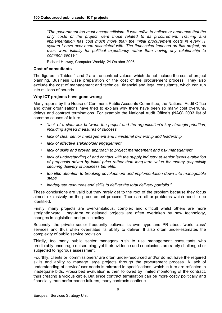*"The government too must accept criticism. It was naïve to believe or announce that the only costs of the project were those related to its procurement. Training and implementation has cost much more than the initial procurement costs in every IT system I have ever been associated with. The timescales imposed on this project, as ever, were initially for political expediency rather than having any relationship to common sense."*

Richard Holway, Computer Weekly, 24 October 2006.

#### **Cost of consultants**

The figures in Tables 1 and 2 are the contract values, which do not include the cost of project planning, Business Case preparation or the cost of the procurement process. They also exclude the cost of management and technical, financial and legal consultants, which can run into millions of pounds.

#### **Why ICT projects have gone wrong**

Many reports by the House of Commons Public Accounts Committee, the National Audit Office and other organisations have tried to explain why there have been so many cost overruns, delays and contract terminations. For example the National Audit Office's (NAO) 2003 list of common causes of failure

- *"lack of a clear link between the project and the organisation's key strategic priorities, including agreed measures of success*
- *lack of clear senior management and ministerial ownership and leadership*
- *lack of effective stakeholder engagement*
- *lack of skills and proven approach to project management and risk management*
- *lack of understanding of and contact with the supply industry at senior levels evaluation of proposals driven by initial price rather than long-term value for money (especially securing delivery of business benefits)*
- *too little attention to breaking development and implementation down into manageable steps*
- *inadequate resources and skills to deliver the total delivery portfolio."*

These conclusions are valid but they rarely get to the root of the problem because they focus almost exclusively on the procurement process. There are other problems which need to be identified.

Firstly, many projects are over-ambitious, complex and difficult whilst others are more straightforward. Long-term or delayed projects are often overtaken by new technology, changes in legislation and public policy.

Secondly, the private sector frequently believes its own hype and PR about 'world class' services and thus often overstates its ability to deliver. It also often under-estimates the complexity of public service provision.

Thirdly, too many public sector managers rush to use management consultants who predictably encourage outsourcing, yet their evidence and conclusions are rarely challenged or subjected to rigorous assessment.

Fourthly, clients or 'commissioners' are often under-resourced and/or do not have the required skills and ability to manage large projects through the procurement process. A lack of understanding of service/user needs is mirrored in specifications, which in turn are reflected in inadequate bids. Proscribed evaluation is then followed by limited monitoring of the contract, thus creating a vicious circle. But since contract termination can be more costly politically and financially than performance failures, many contracts continue.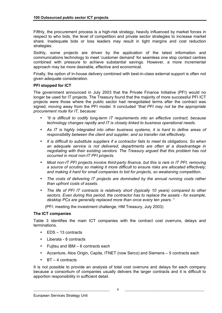Fifthly, the procurement process is a high-risk strategy, heavily influenced by market forces in respect to who bids, the level of competition and private sector strategies to increase market share. Inadequate bids or loss leaders may result in tight margins and cost reduction strategies.

Sixthly, some projects are driven by the application of the latest information and communications technology to meet 'customer demand' for seamless one stop contact centres combined with pressure to achieve substantial savings. However, a more incremental approach may be more desirable, effective and economical.

Finally, the option of in-house delivery combined with best-in-class external support is often not given adequate consideration.

#### **PFI stopped for ICT**

The government announced in July 2003 that the Private Finance Initiative (PFI) would no longer be used for IT projects. The Treasury found that the majority of more successful PFI ICT projects were those where the public sector had renegotiated terms after the contract was signed, moving away from the PFI model. It concluded *"that PFI may not be the appropriate procurement route for IT, because:* 

- *"It is difficult to codify long-term IT requirements into an effective contract, because technology changes rapidly and IT is closely linked to business operational needs.*
- *As IT is highly integrated into other business systems, it is hard to define areas of responsibility between the client and supplier, and so transfer risk effectively.*
- *It is difficult to substitute suppliers if a contractor fails to meet its obligations. So when an adequate service is not delivered, departments are often at a disadvantage in negotiating with their existing vendors. The Treasury argued that this problem has not occurred in most non-IT PFI projects.*
- *Most non-IT PFI projects involve third-party finance, but this is rare in IT PFI, removing a source of scrutiny so making it more difficult to ensure risks are allocated effectively; and making it hard for small companies to bid for projects, so weakening competition.*
- *The costs of delivering IT projects are dominated by the annual running costs rather than upfront costs of assets.*
- *The life of PFI IT contracts is relatively short (typically 10 years) compared to other sectors. Even during this period, the contractor has to replace the assets - for example, desktop PCs are generally replaced more than once every ten years. "*

(PFI: meeting the investment challenge, HM Treasury, July 2003)

#### **The ICT companies**

Table 3 identifies the main ICT companies with the contract cost overruns, delays and terminations.

- EDS 13 contracts
- Liberata 8 contracts
- Fujitsu and IBM 6 contracts each
- Accenture, Atos Origin, Capita, ITNET (now Serco) and Siemens 5 contracts each
- $BT 4$  contracts

It is not possible to provide an analysis of total cost overruns and delays for each company because a consortium of companies usually delivers the larger contracts and it is difficult to apportion responsibility in sufficient detail.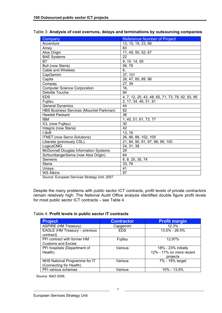| Company                                      | <b>Reference Number of Project</b>               |
|----------------------------------------------|--------------------------------------------------|
| Accenture                                    | 13, 15, 19, 23, 66                               |
| Amey                                         | 83                                               |
| Atos Origin                                  | 11, 49, 50, 52, 67                               |
| <b>BAE Systems</b>                           | 22                                               |
| <b>BT</b>                                    | 9, 10, 14, 59                                    |
| Bull (now Steria)                            | 56,79                                            |
| <b>Cable and Wireless</b>                    | 6,                                               |
| CapGemini                                    | 37, 101                                          |
| Capita                                       | 28, 47, 85, 89, 96                               |
| Compaq                                       | 27, 39                                           |
| <b>Computer Science Corporation</b>          | 16,                                              |
| Deloitte Touche                              | 94                                               |
| <b>EDS</b>                                   | 4, 7, 12, 20, 43, 48, 65, 71, 73, 78, 92, 93, 95 |
| Fujitsu                                      | 2, 17, 34, 46, 51, 81                            |
| <b>General Dynamics</b>                      | 44                                               |
| HBS Business Services (Mouchel Parkman)      | 82                                               |
| <b>Hewlett Packard</b>                       | 36                                               |
| <b>IBM</b>                                   | 1, 40, 51, 61, 73, 77                            |
| ICL (now Fujitsu)                            | 30                                               |
| Integris (now Steria)                        | 42                                               |
| I-Soft                                       | 13, 16                                           |
| <b>ITNET</b> (now Serco Solutions)           | 26, 86, 88, 102, 105                             |
| Liberata (previously CSL)                    | 21, 84, 90, 91, 97, 98, 99, 100                  |
| LogicaCMG                                    | 24, 31, 38                                       |
| <b>McDonnell Douglas Information Systems</b> | 29                                               |
| SchlumbergerSema (now Atos Origin)           | 64                                               |
| Siemens                                      | 6, 8, 25, 35, 74                                 |
| <b>Steria</b>                                | 33,76                                            |
| Unisys                                       | 41                                               |
| <b>WS Atkins</b>                             | 87                                               |

#### Table 3: **Analysis of cost overruns, delays and terminations by outsourcing companies**

Source: European Services Strategy Unit, 2007

Despite the many problems with public sector ICT contracts, profit levels of private contractors remain relatively high. The National Audit Office analysis identified double figure profit levels for most public sector ICT contracts – see Table 4.

#### Table 4: **Profit levels in public sector IT contracts**

| <b>Project</b>                                           | <b>Contractor</b> | <b>Profit margin</b>                                        |
|----------------------------------------------------------|-------------------|-------------------------------------------------------------|
| <b>ASPIRE (HM Treasury)</b>                              | Capgemini         | 12.3%                                                       |
| EAGLE (HM Treasury - previous<br>contract)               | <b>EDS</b>        | 13.5% - 26.5%                                               |
| PFI contract with former HM<br><b>Customs and Excise</b> | Fujitsu           | 12.97%                                                      |
| PFI hospitals (Department of<br>Health)                  | Various           | 18% - 23% initially<br>12% - 17% on more recent<br>projects |
| NHS National Programme for IT<br>(Connecting for Health) | Various           | 7% - 19% target                                             |
| PFI various schemes                                      | Various           | 10% - 13.5%                                                 |

Source: NAO 2006.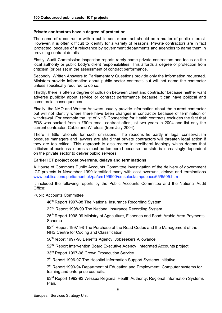#### **Private contractors have a degree of protection**

The name of a contractor with a public sector contract should be a matter of public interest. However, it is often difficult to identify for a variety of reasons. Private contractors are in fact 'protected' because of a reluctance by government departments and agencies to name them in providing contract details.

Firstly, Audit Commission inspection reports rarely name private contractors and focus on the local authority or public body's client responsibilities. This affords a degree of protection from criticism (or praise) in the assessment of contract performance.

Secondly, Written Answers to Parliamentary Questions provide only the information requested. Ministers provide information about public sector contracts but will not name the contractor unless specifically required to do so.

Thirdly, there is often a degree of collusion between client and contractor because neither want adverse publicity about service or contract performance because it can have political and commercial consequences.

Finally, the NAO and Written Answers usually provide information about the current contractor but will not identify where there have been changes in contractor because of termination or withdrawal. For example the list of NHS Connecting for Health contracts excludes the fact that EDS was sacked from a £90m email contract after just two years in 2004 and list only the current contractor, Cable and Wireless (from July 2004).

There is little rationale for such omissions. The reasons lie partly in legal conservatism because managers and lawyers are afraid that private contractors will threaten legal action if they are too critical. This approach is also rooted in neoliberal ideology which deems that criticism of business interests must be tempered because the state is increasingly dependent on the private sector to deliver public services.

#### **Earlier ICT project cost overruns, delays and terminations**

A House of Commons Public Accounts Committee investigation of the delivery of government ICT projects in November 1999 identified many with cost overruns, delays and terminations www.publications.parliament.uk/pa/cm199900/cmselect/cmpubacc/65/6505.htm

It included the following reports by the Public Accounts Committee and the National Audit Office:

Public Accounts Committee

46<sup>th</sup> Report 1997-98 The National Insurance Recording System

22<sup>nd</sup> Report 1998-99 The National Insurance Recording System

25<sup>th</sup> Report 1998-99 Ministry of Agriculture, Fisheries and Food: Arable Area Payments Scheme.

62<sup>nd</sup> Report 1997-98 The Purchase of the Read Codes and the Management of the NHS Centre for Coding and Classification.

58<sup>th</sup> report 1997-98 Benefits Agency: Jobseekers Allowance.

52<sup>nd</sup> Report Intervention Board Executive Agency: Integrated Accounts project.

33<sup>rd</sup> Report 1997-98 Crown Prosecution Service.

7<sup>th</sup> Report 1996-97 The Hospital Information Support Systems Initiative.

7<sup>th</sup> Report 1993-94 Department of Education and Employment: Computer systems for training and enterprise councils.

63rd Report 1992-93 Wessex Regional Health Authority: Regional Information Systems Plan.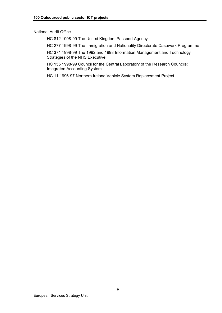National Audit Office

HC 812 1998-99 The United Kingdom Passport Agency

HC 277 1998-99 The Immigration and Nationality Directorate Casework Programme

HC 371 1998-99 The 1992 and 1998 Information Management and Technology Strategies of the NHS Executive.

HC 155 1998-99 Council for the Central Laboratory of the Research Councils: Integrated Accounting System.

HC 11 1996-97 Northern Ireland Vehicle System Replacement Project.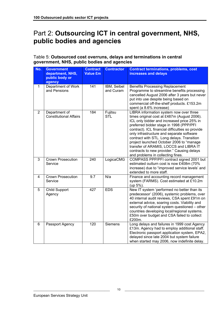## Part 2: **Outsourcing ICT in central government, NHS, public bodies and agencies**

#### Table 5: **Outsourced cost overruns, delays and terminations in central government, NHS, public bodies and agencies**

| No.            | <b>Government</b><br>department, NHS,<br>public body or<br>agency | <b>Contract</b><br><b>Value £m</b> | <b>Contractor</b>        | <b>Contract terminations, problems, cost</b><br>increases and delays                                                                                                                                                                                                                                                                                                                                                                                                                                    |
|----------------|-------------------------------------------------------------------|------------------------------------|--------------------------|---------------------------------------------------------------------------------------------------------------------------------------------------------------------------------------------------------------------------------------------------------------------------------------------------------------------------------------------------------------------------------------------------------------------------------------------------------------------------------------------------------|
| $\mathbf{1}$   | Department of Work<br>and Pensions                                | 141                                | IBM, Seibel<br>and Curam | <b>Benefits Processing Replacement</b><br>Programme to streamline benefits processing<br>cancelled August 2006 after 3 years but never<br>put into use despite being based on<br>commercial off-the-shelf products. £153.2m<br>spent (a 8.6% increase)                                                                                                                                                                                                                                                  |
| $\overline{2}$ | Department of<br><b>Constitutional Affairs</b>                    | 184                                | Fujitsu<br><b>STL</b>    | LIBRA information system now over three<br>times original cost at £487m (August 2006).<br>ICL only bidder and increased price 25% in<br>preferred bidder stage in 1998 (PPP/PFI<br>contract). ICL financial difficulties so provide<br>only infrastructure and separate software<br>contract with STL. Long delays. Transition<br>project launched October 2006 to "manage<br>transfer of ARAMIS, LOCCS and LIBRA IT<br>contracts to new provider." Causing delays<br>and problems in collecting fines. |
| 3              | <b>Crown Prosecution</b><br>Service                               | 240                                | LogicaCMG                | COMPASS PPP/PFI contract signed 2001 but<br>estimated outturn cost is now £408m (70%<br>increase) due to "improved service levels' and<br>extended to more staff.                                                                                                                                                                                                                                                                                                                                       |
| $\overline{4}$ | <b>Crown Prosecution</b><br>Service                               | 9.7                                | N/a                      | Finance and accounting record management<br>system (FARMS). Cost estimated at £10.2m<br>(up 5%).                                                                                                                                                                                                                                                                                                                                                                                                        |
| 5              | Child Support<br>Agency                                           | 427                                | <b>EDS</b>               | New IT system 'performed no better than its<br>predecessor' (2006), systemic problems, over<br>40 internal audit reviews, CSA spent £91m on<br>external advice, soaring costs. Viability and<br>security of national system questioned - other<br>countries developing local/regional systems.<br>£50m over budget and CSA failed to collect<br>£200m.                                                                                                                                                  |
| 6              | Passport Agency                                                   | 120                                | <b>Siemens</b>           | Long delays and failures in 1999 cost Agency<br>£13m. Agency had to employ additional staff.<br>Electronic passport application system, EPA2,<br>delayed since late 2004 but system failure<br>when started may 2006, now indefinite delay.                                                                                                                                                                                                                                                             |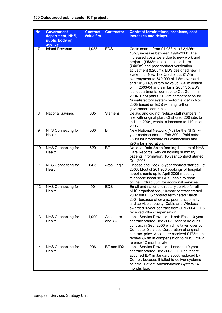| No.            | <b>Government</b><br>department, NHS,<br>public body or<br>agency | <b>Contract</b><br><b>Value £m</b> | <b>Contractor</b>      | <b>Contract terminations, problems, cost</b><br>increases and delays                                                                                                                                                                                                                                                                                                                                                                                                                                                                                                                                                                          |
|----------------|-------------------------------------------------------------------|------------------------------------|------------------------|-----------------------------------------------------------------------------------------------------------------------------------------------------------------------------------------------------------------------------------------------------------------------------------------------------------------------------------------------------------------------------------------------------------------------------------------------------------------------------------------------------------------------------------------------------------------------------------------------------------------------------------------------|
| $\overline{7}$ | <b>Inland Revenue</b>                                             | 1,033                              | <b>EDS</b>             | Costs soared from £1,033m to £2,426m, a<br>135% increase between 1994-2000. The<br>increased costs were due to new work and<br>projects (£533m), capital expenditure<br>(£409m) and post contract verification<br>adjustment (£203m). EDS designed new IT<br>system for New Tax Credits but £174m<br>overpayment to 540,000 of 1.8m overpaid<br>and 10%-14% errors by value. £37m written<br>off in 2003/04 and similar in 2004/05. EDS<br>lost departmental contract to CapGemini in<br>2004. Dept paid £71.25m compensation for<br>"unsatisfactory system performance" in Nov<br>2005 based on EDS winning further<br>government contracts! |
| 8              | <b>National Savings</b>                                           | 635                                | <b>Siemens</b>         | Delays and did not reduce staff numbers in<br>line with original plan. Offshored 200 jobs to<br>India in 2004, wants to increase to 440 in late<br>2006.                                                                                                                                                                                                                                                                                                                                                                                                                                                                                      |
| 9              | NHS Connecting for<br>Health                                      | 530                                | <b>BT</b>              | New National Network (N3) for the NHS, 7-<br>year contract started Feb 2004. Paid extra<br>£69m for broadband N3 connections and<br>£90m for integration.                                                                                                                                                                                                                                                                                                                                                                                                                                                                                     |
| 10             | NHS Connecting for<br>Health                                      | 620                                | BT                     | National Data Spine forming the core of NHS<br>Care Records Service holding summary<br>patients information. 10-year contract started<br>Dec 2003.                                                                                                                                                                                                                                                                                                                                                                                                                                                                                            |
| 11             | NHS Connecting for<br>Health                                      | 64.5                               | Atos Origin            | Choose and Book, 5-year contract started Oct<br>2003. Most of 261,983 bookings of hospital<br>appointments up to April 2006 made by<br>telephone because GPs unable to book<br>online. Extra £80m for additional services.                                                                                                                                                                                                                                                                                                                                                                                                                    |
| 12             | NHS Connecting for<br>Health                                      | 90                                 | <b>EDS</b>             | Email and national directory service for all<br>NHS organisations, 10-year contract started<br>2002 but EDS contract terminated March<br>2004 because of delays, poor functionality<br>and service capacity. Cable and Wireless<br>awarded 9-year contract from July 2004. EDS<br>received £9m compensation.                                                                                                                                                                                                                                                                                                                                  |
| 13             | NHS Connecting for<br>Health                                      | 1,099                              | Accenture<br>and iSOFT | Local Service Provider - North East. 10-year<br>contract started Dec 2003. Accenture quits<br>contract in Sept 2006 which is taken over by<br>Computer Services Corporation at original<br>contract price. Accenture received £173m and<br>repays £63m in compensation to NHS. P1R2<br>release 12 months late.                                                                                                                                                                                                                                                                                                                                |
| 14             | NHS Connecting for<br>Health                                      | 996                                | BT and IDX             | Local Service Provider - London. 10-year<br>contract started Dec 2003. GE Healthcare<br>acquired IDX in January 2006, replaced by<br>Cerner, because it failed to deliver systems<br>on time. Patient Administration System 14<br>months late.                                                                                                                                                                                                                                                                                                                                                                                                |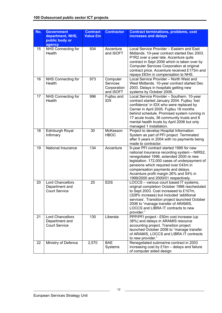| No. | <b>Government</b><br>department, NHS,<br>public body or<br>agency | <b>Contract</b><br><b>Value £m</b> | <b>Contractor</b>                                | <b>Contract terminations, problems, cost</b><br>increases and delays                                                                                                                                                                                                                                                                                    |
|-----|-------------------------------------------------------------------|------------------------------------|--------------------------------------------------|---------------------------------------------------------------------------------------------------------------------------------------------------------------------------------------------------------------------------------------------------------------------------------------------------------------------------------------------------------|
| 15  | NHS Connecting for<br>Health                                      | 934                                | Accenture<br>and iSOFT                           | Local Service Provider - Eastern and East<br>Midlands. 10-year contract started Dec 2003.<br>P1R2 over a year late. Accenture quits<br>contract in Sept 2006 which is taken over by<br>Computer Services Corporation at original<br>contract price. Accenture received £173m and<br>repays £63m in compensation to NHS.                                 |
| 16  | NHS Connecting for<br>Health                                      | 973                                | Computer<br>Services<br>Corporation<br>and iSOFT | Local Service Provider - North West and<br>West Midlands. 10-year contract started Dec<br>2003. Delays in hospitals getting new<br>systems by October 2006.                                                                                                                                                                                             |
| 17  | NHS Connecting for<br>Health                                      | 996                                | Fujitsu and<br><b>IDX</b>                        | Local Service Provider - Southern. 10-year<br>contract started January 2004. Fujitsu 'lost<br>confidence' in IDX who were replaced by<br>Cerner in April 2005. Fujitsu 18 months<br>behind schedule. Promised system running in<br>17 acute trusts, 36 community trusts and 8<br>mental health trusts by April 2006 but only<br>managed 1 installation. |
| 18  | Edinburgh Royal<br>Infirmary                                      | 30                                 | McKesson<br><b>HBOC</b>                          | Project to develop Hospital Information<br>System as part of PFI project. Terminated<br>after 5 years in 2004 with no payments being<br>made to contractor.                                                                                                                                                                                             |
| 19  | National Insurance                                                | 134                                | Accenture                                        | 9-year PFI contract started 1995 for new<br>national Insurance recording system - NIRS2,<br>renegotiated 1996, extended 2000 re new<br>legislation. 172,000 cases of underpayment of<br>pensions which required over £43m in<br>compensation payments and delays.<br>Accenture profit margin 26% and 54% in<br>1999/2000 and 2000/01 respectively.      |
| 20  | <b>Lord Chancellors</b><br>Department and<br><b>Court Service</b> | 25                                 | <b>EDS</b>                                       | LOCCS - various court based IT systems,<br>original completion October 1996 rescheduled<br>to Sept 2003. Cost increased to £107m,<br>(328% increase) but included 'additional<br>services'. Transition project launched October<br>2006 to "manage transfer of ARAMIS,<br>LOCCS and LIBRA IT contracts to new<br>provider."                             |
| 21  | Lord Chancellors<br>Department and<br><b>Court Service</b>        | 130                                | Liberata                                         | PPP/PFI project - £50m cost increase (up<br>38%) and delays in ARAMIS resource<br>accounting project. Transition project<br>launched October 2006 to "manage transfer<br>of ARAMIS, LOCCS and LIBRA IT contracts<br>to new provider."                                                                                                                   |
| 22  | Ministry of Defence                                               | 2,570                              | <b>BAE</b><br>Systems                            | Renegotiated submarine contract in 2003<br>increasing cost by £1bn - delays and failure<br>of computer aided design                                                                                                                                                                                                                                     |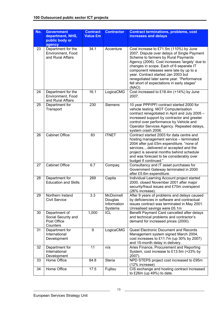| No. | <b>Government</b><br>department, NHS,<br>public body or<br>agency | <b>Contract</b><br><b>Value £m</b> | <b>Contractor</b>                              | <b>Contract terminations, problems, cost</b><br>increases and delays                                                                                                                                                                                                                                                                                                                                              |
|-----|-------------------------------------------------------------------|------------------------------------|------------------------------------------------|-------------------------------------------------------------------------------------------------------------------------------------------------------------------------------------------------------------------------------------------------------------------------------------------------------------------------------------------------------------------------------------------------------------------|
| 23  | Department for the<br>Environment, Food<br>and Rural Affairs      | 34.1                               | Accenture                                      | Cost increase to £71.5m (110%) by June<br>2007. Dispute over delays of Single Payment<br>Scheme to farmers by Rural Payments<br>Agency (2006). Cost increases 'largely' due to<br>changes in scope. Each of 6 separate IT<br>component releases were late by up to a<br>year. Contract started Jan 2003 but<br>renegotiated later same year. "Performance<br>fell short of expectations in early stages"<br>(NAO) |
| 24  | Department for the<br>Environment, Food<br>and Rural Affairs      | 16.1                               | LogicaCMG                                      | Cost increased to £18.4m (+14%) by June<br>2007.                                                                                                                                                                                                                                                                                                                                                                  |
| 25  | Department for<br>Transport                                       | 230                                | <b>Siemens</b>                                 | 10 year PPP/PFI contract started 2000 for<br>vehicle testing. MOT Computerisation<br>contract renegotiated in April and July 2005 -<br>increased support by contractor and greater<br>control over performance by Vehicle and<br>Operator Services Agency. Repeated delays,<br>system crash 2006.                                                                                                                 |
| 26  | <b>Cabinet Office</b>                                             | 83                                 | <b>ITNET</b>                                   | Contract started 2003 for data centre and<br>hosting management service - terminated<br>2004 after just £5m expenditure. "none of<br>servicesdelivered or accepted and the<br>project is several months behind schedule<br>and was forecast to be considerably over<br>budget if continued."                                                                                                                      |
| 27  | <b>Cabinet Office</b>                                             | 6.7                                | Compaq                                         | Consultancy and IT asset purchases for<br>Government Gateway terminated in 2000<br>after £5.6m expenditure.                                                                                                                                                                                                                                                                                                       |
| 28  | Department for<br><b>Education and Skills</b>                     | 269                                | Capita                                         | Individual Learning Account project started<br>2000, closed November 2001 after major<br>security/fraud issues and £70m overspend<br>(26% increase).                                                                                                                                                                                                                                                              |
| 29  | Northern Ireland<br><b>Civil Service</b>                          | 3.3                                | McDonnell<br>Douglas<br>Information<br>Systems | After 9 years of problems and delays caused<br>by deficiencies in software and contractual<br>issues contract was terminated in May 2001.<br>Unrealised savings were £6.1m                                                                                                                                                                                                                                        |
| 30  | Department of<br>Social Security and<br>Post Office<br>Counters   | 1,000                              | <b>ICL</b>                                     | Benefit Payment Card cancelled after delays<br>and technical problems and contractor's<br>demand for increased prices (2000).                                                                                                                                                                                                                                                                                     |
| 31  | Department for<br>International<br>Development                    | 9                                  | LogicaCMG                                      | <b>Quest Electronic Document and Records</b><br>Management system signed March 2004,<br>cost increases to £11.7m (up 30% by 2007)<br>and 15-month delay in delivery.                                                                                                                                                                                                                                              |
| 32  | Department for<br>International<br>Development                    | 11                                 | n/a                                            | Aries Finance, Procurement and Reporting<br>System, cost increase to £13.5m (+23% by<br>2007).                                                                                                                                                                                                                                                                                                                    |
| 33  | Home Office                                                       | 84.8                               | <b>Steria</b>                                  | NPD STEPS project cost increased to £95m<br>(12% increase)                                                                                                                                                                                                                                                                                                                                                        |
| 34  | Home Office                                                       | 17.5                               | Fujitsu                                        | CIS exchange and hosting contract increased<br>to £26m (up 49%) to date.                                                                                                                                                                                                                                                                                                                                          |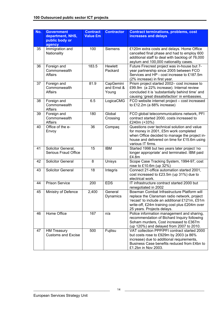| No. | <b>Government</b><br>department, NHS,<br>public body or<br>agency | <b>Contract</b><br><b>Value £m</b> | <b>Contractor</b>                 | <b>Contract terminations, problems, cost</b><br>increases and delays                                                                                                                                                      |
|-----|-------------------------------------------------------------------|------------------------------------|-----------------------------------|---------------------------------------------------------------------------------------------------------------------------------------------------------------------------------------------------------------------------|
| 35  | Immigration and<br>Nationality                                    | 100                                | <b>Siemens</b>                    | £120m extra costs and delays. Home Office<br>cancelled final phase and had to employ 600<br>additional staff to deal with backlog of 76,000<br>asylum and 100,000 nationality cases.                                      |
| 36  | Foreign and<br>Commonwealth<br><b>Affairs</b>                     | 183.5                              | <b>Hewlett</b><br>Packard         | Future Firecrest project was in-house but 7-<br>year partnership since 2005 between FCO<br>Services and HP - cost increase to £187.5m<br>(2% increase) in first year.                                                     |
| 37  | Foreign and<br>Commonwealth<br>Affairs                            | 81.9                               | CapGemini<br>and Ernst &<br>Young | Prism project started 2002- cost increase to<br>£99.9m (a 22% increase). Internal review<br>concluded it is 'substantially behind time' and<br>causing 'great dissatisfaction' in embassies.                              |
| 38  | Foreign and<br>Commonwealth<br><b>Affairs</b>                     | 6.5                                | LogicaCMG                         | FCO website internet project - cost increased<br>to £12.2m (a 88% increase)                                                                                                                                               |
| 39  | Foreign and<br>Commonwealth<br><b>Affairs</b>                     | 180                                | Global<br>Crossing                | FCO global telecommunications network, PFI<br>contract started 2000, costs increased to<br>£240m (+33%)                                                                                                                   |
| 40  | Office of the e-<br>Envoy                                         | $\overline{36}$                    | Compaq                            | Questions over technical solution and value<br>for money in 2001, £5m work completed<br>when Office decided to manage the project in-<br>house and delivered on time for £15.6m using<br>various IT firms.                |
| 41  | Solicitor General,<br><b>Serious Fraud Office</b>                 | 15                                 | <b>IBM</b>                        | Started 1998 but two years later project 'no<br>longer appropriate' and terminated. IBM paid<br>£4.8m                                                                                                                     |
| 42  | <b>Solicitor General</b>                                          | 8                                  | Unisys                            | Scope Case Tracking System, 1994-97, cost<br>rose to £10.6m (up 32%)                                                                                                                                                      |
| 43  | <b>Solicitor General</b>                                          | 18                                 | Integris                          | Connect 21-office automation started 2001,<br>cost increased to £23.5m (up 31%) due to<br>electrical work.                                                                                                                |
| 44  | <b>Prison Service</b>                                             | 200                                | <b>EDS</b>                        | IT infrastructure contract started 2000 but<br>renegotiated in 2002                                                                                                                                                       |
| 45  | Ministry of Defence                                               | 2,400                              | General<br>Dynamics               | Bowman Combat Infrastructure Platform will<br>replace the Clansman radio network, project<br>'recast' to include an additional £121m, £51m<br>write-off, £24m training cost plus £204m over<br>25 years. Projects delays. |
| 46  | Home Office                                                       | 167                                | n/a                               | Police information management and sharing,<br>recommendation of Bichard Inquiry following<br>Soham murders, Cost increased to £367m<br>(up 120%) and delayed from 2007 to 2010.                                           |
| 47  | <b>HM Treasury</b><br><b>Customs and Excise</b>                   | 500                                | Fujitsu                           | VAT collection PPP/PFI contract started 2000<br>but costs rose to £929m by 2003 (a 86%<br>increase) due to additional requirements,<br>Business Case benefits reduced from £4bn to<br>£1.2bn in Nov 2003.                 |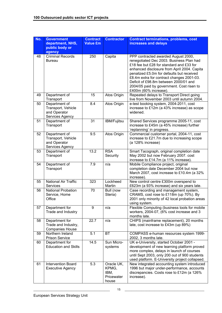| No. | <b>Government</b><br>department, NHS,<br>public body or<br>agency      | <b>Contract</b><br><b>Value £m</b> | <b>Contractor</b>                                  | <b>Contract terminations, problems, cost</b><br>increases and delays                                                                                                                                                                                                                                                                                                                |
|-----|------------------------------------------------------------------------|------------------------------------|----------------------------------------------------|-------------------------------------------------------------------------------------------------------------------------------------------------------------------------------------------------------------------------------------------------------------------------------------------------------------------------------------------------------------------------------------|
| 48  | <b>Criminal Records</b><br><b>Bureau</b>                               | 250                                | Capita                                             | PPP contracted awarded August 2000,<br>renegotiated Dec 2003. Business Plan had<br>£18 fee but £28 for standard and £33 for<br>enhanced disclosure from April 2004. Capita<br>penalized £5.0m for defaults but received<br>£8.4m extra for contract changes 2001-03.<br>Deficit of £98.8m between 2000/01 and<br>2004/05 paid by government. Cost risen to<br>£400m (60% increase). |
| 49  | Department of<br>Transport                                             | 15                                 | Atos Origin                                        | Repeated delays to Transport Direct going<br>live from November 2003 until autumn 2004.                                                                                                                                                                                                                                                                                             |
| 50  | Department of<br>Transport, Vehicle<br>and Operator<br>Services Agency | 8.4                                | Atos Origin                                        | e-test booking system, 2004-2011, cost<br>increase to £12m (a 43% increase) as scope<br>widened.                                                                                                                                                                                                                                                                                    |
| 51  | Department of<br>Transport                                             | $\overline{31}$                    | IBM/Fujitsu                                        | Shared Services programme 2005-11, cost<br>increase to £45m (a 45% increase) further<br>'replanning' in progress.                                                                                                                                                                                                                                                                   |
| 52  | Department of<br>Transport, Vehicle<br>and Operator<br>Services Agency | 9.5                                | Atos Origin                                        | Commercial customer portal, 2004-11, cost<br>increase to £21.7m due to increasing scope<br>(a 128% increase)                                                                                                                                                                                                                                                                        |
| 53  | Department of<br>Transport                                             | 13.2                               | <b>RSA</b><br>Security                             | Smart Tacograph, original completion date<br>May 2002 but now February 2007. cost<br>increase to £14.7m (a 11% increase).                                                                                                                                                                                                                                                           |
| 54  | Department of<br>Transport                                             | 7.9                                | n/a                                                | Mobile Compliance project, original<br>completion date December 2004 but now<br>March 2007, cost increase to £10.4m (a 32%<br>increase).                                                                                                                                                                                                                                            |
| 55  | <b>National Air Traffic</b><br>Services                                | 323                                | Lockheed<br>Martin                                 | New control centre £300m overspend to<br>£623m (a 93% increase) and six years late.                                                                                                                                                                                                                                                                                                 |
| 56  | <b>National Probation</b><br>Service, Home<br>Office                   | 70                                 | Bull (now<br>Steria)                               | Case recording and management system,<br>CRAMS, cost rose to £118m (up 70%). By<br>2001 only minority of 42 local probation areas<br>using system.                                                                                                                                                                                                                                  |
| 57  | Department for<br>Trade and Industry                                   | $\boldsymbol{9}$                   | n/a                                                | Flexible Computing (business tools for mobile<br>workers, 2004-07, (6% cost increase and 3<br>months late.                                                                                                                                                                                                                                                                          |
| 58  | Department for<br>Trade and Industry,<br><b>Companies House</b>        | 22.7                               | n/a                                                | CHIPS (mainframe replacement), 20 months<br>late, cost increase to £43m (up 89%)                                                                                                                                                                                                                                                                                                    |
| 59  | Northern Ireland<br><b>Prison Service</b>                              | 5.1                                | <b>BT</b>                                          | COMPASS e-human resources system 1999-<br>2002, 3 months late.                                                                                                                                                                                                                                                                                                                      |
| 60  | Department for<br><b>Education and Skills</b>                          | 14.5                               | Sun Micro-<br>systems                              | UK e-University, started October 2001 -<br>development of new learning platform proved<br>more complex, delays in launch of courses<br>until Sept 2003, only 200 out of 900 students<br>used platform. E-University project collapsed.                                                                                                                                              |
| 61  | <b>Intervention Board</b><br><b>Executive Agency</b>                   | 5.3                                | Oracle UK,<br>KPMG,<br>IBM,<br>Pricewater<br>house | New integrated accounting system introduced<br>1996 but major under-performance, accounts<br>discrepancies. Costs rose to £12m (a 126%<br>increase).                                                                                                                                                                                                                                |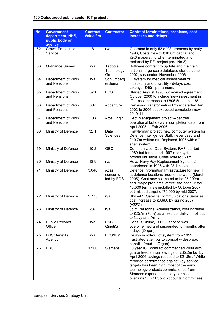| No. | <b>Government</b><br>department, NHS,<br>public body or<br>agency | <b>Contract</b><br><b>Value £m</b> | <b>Contractor</b>                 | <b>Contract terminations, problems, cost</b><br>increases and delays                                                                                                                                                                                                                                                                                       |
|-----|-------------------------------------------------------------------|------------------------------------|-----------------------------------|------------------------------------------------------------------------------------------------------------------------------------------------------------------------------------------------------------------------------------------------------------------------------------------------------------------------------------------------------------|
| 62  | <b>Crown Prosecution</b><br>Service                               | 8                                  | n/a                               | Operated in only 53 of 93 branches by early<br>1998, Costs rose to £10.6m capital and<br>£9.6m operating when terminated and<br>replaced by PFI project (see No 3).                                                                                                                                                                                        |
| 63  | <b>Ordnance Survey</b>                                            | n/a                                | Tadpole<br>Technology<br>Group    | Software contract to update and maintain<br>national large scale database started June<br>2002, suspended November 2006.                                                                                                                                                                                                                                   |
| 64  | Department of Work<br>and Pensions                                | n/a                                | Schlumberg<br>erSema              | IT system for medical assessment of<br>incapacity and disability - delays cost<br>taxpayer £40m per annum.                                                                                                                                                                                                                                                 |
| 65  | Department of Work<br>and Pensions                                | 370                                | <b>EDS</b>                        | Started August 1998 but revised agreement<br>October 2000 to include 'new investment in<br>IT' - cost increases to £806.5m - up 118%.                                                                                                                                                                                                                      |
| 66  | Department of Work<br>and Pensions                                | 607                                | Accenture                         | Pensions Transformation Project started Jan<br>2002 to 2006 but expected completion now<br>2010-11.                                                                                                                                                                                                                                                        |
| 67  | Department of Work<br>and Pensions                                | 103                                | Atos Origin                       | Debt Management project - centres<br>operational but delay in completion date from<br>April 2005 to Feb 2006.                                                                                                                                                                                                                                              |
| 68  | Ministry of Defence                                               | 32.1                               | <b>Data</b><br><b>Sciences</b>    | Trawlerman project, new computer system for<br>Defence Intelligence Staff, never used and<br>£40.7m written off. Replaced 1997 with off-<br>shelf system.                                                                                                                                                                                                  |
| 69  | Ministry of Defence                                               | 10.2                               | <b>GEC</b>                        | Common User Data System, RAF, started<br>1989 but terminated 1997 after system<br>proved unusable. Costs rose to £21m.                                                                                                                                                                                                                                     |
| 70  | Ministry of Defence                                               | 18.9                               | n/a                               | Royal Navy Pay Replacement System 2<br>abandoned in 1996 with £8.7m loss.                                                                                                                                                                                                                                                                                  |
| 71  | Ministry of Defence                                               | 3,040                              | Atlas<br>consortium<br>led by EDS | Defence Information Infrastructure for new IT<br>at defence locations around the world (March<br>2005). Cost now estimated to be £5,000m<br>and 'major problems' at first site near Bristol.<br>16,000 terminals installed by October 2007<br>but missed target of 70,000 by mid 2007.                                                                     |
| 72  | Ministry of Defence                                               | 2,775                              | n/a                               | Skynet 5, Satellite Communications Services<br>cost increase to £3,660 by spring 2007<br>$(+32%)$                                                                                                                                                                                                                                                          |
| 73  | Ministry of Defence                                               | 237                                | n/a                               | Joint Personnel Administration, cost increase<br>to £257m (+8%) as a result of delay in roll out<br>to Navy and Army                                                                                                                                                                                                                                       |
| 74  | <b>Public Records</b><br>Office                                   | n/a                                | ESS/<br>QinetiQ                   | Census Online, 2000 - service was<br>overwhelmed and suspended for months after<br>4 days (Organ)                                                                                                                                                                                                                                                          |
| 75  | <b>DSS/Benefits</b><br>Agency                                     | n/a                                | EDS/IBM                           | Delays in roll-out of system from 1999<br>frustrated attempts to combat widespread<br>benefits fraud - (Organ)                                                                                                                                                                                                                                             |
| 76  | <b>BBC</b>                                                        | 1,500                              | Siemens                           | 10 year ICT contract commenced 2004 with<br>guaranteed annual savings of £35.2m but by<br>April 2006 savings reduced to £21.8m. "While<br>reported performance against key service<br>targets has been high, most of the early<br>technology projects commissioned from<br>Siemens experienced delays or cost<br>overruns." (HC Public Accounts Committee) |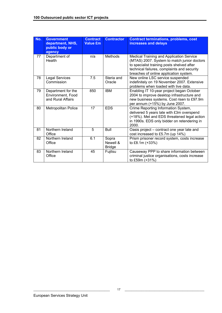| No. | <b>Government</b><br>department, NHS,<br>public body or<br>agency | <b>Contract</b><br><b>Value £m</b> | <b>Contractor</b>                  | <b>Contract terminations, problems, cost</b><br>increases and delays                                                                                                                                                           |
|-----|-------------------------------------------------------------------|------------------------------------|------------------------------------|--------------------------------------------------------------------------------------------------------------------------------------------------------------------------------------------------------------------------------|
| 77  | Department of<br>Health                                           | n/a                                | <b>Methods</b>                     | Medical Training and Application Service<br>(MTAS) 2007. System to match junior doctors<br>to specialist training posts shelved after<br>technical failures, complaints and security<br>breaches of online application system. |
| 78  | <b>Legal Services</b><br>Commission                               | 7.5                                | Steria and<br>Oracle               | New online LSC service suspended<br>indefinitely on 19 November 2007. Extensive<br>problems when loaded with live data.                                                                                                        |
| 79  | Department for the<br>Environment, Food<br>and Rural Affairs      | 850                                | <b>IBM</b>                         | Enabling IT 10-year project began October<br>2004 to improve desktop infrastructure and<br>new business systems. Cost risen to £97.9m<br>per annum (+15%) by June 2007.                                                        |
| 80  | Metropolitan Police                                               | 17                                 | <b>EDS</b>                         | Crime Reporting Information System,<br>delivered 5 years late with £3m overspend<br>(+18%). Met and EDS threatened legal action<br>in 1990s. EDS only bidder on retendering in<br>2000.                                        |
| 81  | Northern Ireland<br>Office                                        | 5                                  | <b>Bull</b>                        | Oasis project - contract one year late and<br>cost increased to £5.7m (up 14%)                                                                                                                                                 |
| 82  | Northern Ireland<br>Office                                        | 6.1                                | Sopra<br>Newell &<br><b>Bridge</b> | Prism prisoner record system, costs increase<br>to £8.1m (+33%)                                                                                                                                                                |
| 83  | Northern Ireland<br>Office                                        | 45                                 | Fujitsu                            | Causeway PPP to share information between<br>criminal justice organisations, costs increase<br>to £59m (+31%)                                                                                                                  |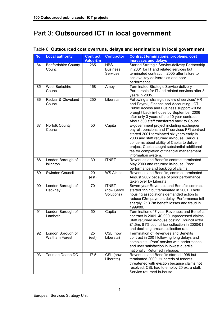## Part 3: **Outsourced ICT in local government**

| No. | <b>Local authority</b>                     | <b>Contract</b><br><b>Value £m</b> | <b>Contractor</b>                                | <b>Contract terminations, problems, cost</b>                                                                                                                                                                                                                                                                                                                |
|-----|--------------------------------------------|------------------------------------|--------------------------------------------------|-------------------------------------------------------------------------------------------------------------------------------------------------------------------------------------------------------------------------------------------------------------------------------------------------------------------------------------------------------------|
| 84  | <b>Bedfordshire County</b><br>Council      | 265                                | <b>HBS</b><br><b>Business</b><br><b>Services</b> | increases and delays<br>Started Strategic Service-delivery Partnership<br>in 2001 for IT and related services but<br>terminated contract in 2005 after failure to<br>achieve key deliverables and poor<br>performance.                                                                                                                                      |
| 85  | <b>West Berkshire</b><br>Council           | 168                                | Amey                                             | Terminated Strategic Service-delivery<br>Partnership for IT and related services after 3<br>years in 2005.                                                                                                                                                                                                                                                  |
| 86  | Redcar & Cleveland<br>Council              | 250                                | Liberata                                         | Following a 'strategic review of services' HR<br>and Payroll, Finance and Accounting, ICT,<br>Public Access and Business support will be<br>brought back in-house by September 2006<br>after only 3 years of the 10 year contract.<br>About 500 staff transferred back to Council.                                                                          |
| 87  | Norfolk County<br>Council                  | 50                                 | Capita                                           | E-government project including exchequer,<br>payroll, pensions and IT services PFI contract<br>started 2001 terminated six years early in<br>2003 and staff returned in-house. Serious<br>concerns about ability of Capita to deliver<br>project. Capita sought substantial additional<br>fee for completion of financial management<br>information system. |
| 88  | London Borough of<br>Islington             | 39                                 | <b>ITNET</b>                                     | Revenues and Benefits contract terminated<br>May 2003 and returned in-house. Poor<br>performance and backlog of claims.                                                                                                                                                                                                                                     |
| 89  | Swindon Council                            | 20<br>(est)                        | <b>WS Atkins</b>                                 | Revenues and Benefits, contract terminated<br>August 2002 because of poor performance,<br>taken over by Liberata.                                                                                                                                                                                                                                           |
| 90  | London Borough of<br>Hackney               | 70                                 | <b>ITNET</b><br>(now Serco<br>Solutions)         | Seven-year Revenues and Benefits contract<br>started 1997 but terminated in 2001. Thirty<br>housing associations demanded action to<br>reduce £3m payment delay. Performance fell<br>sharply. £13.7m benefit losses and fraud in<br>1999/00.                                                                                                                |
| 91  | London Borough of<br>Lambeth               | 50                                 | Capita                                           | Termination of 7 year Revenues and Benefits<br>contract in 2001. 40,000 unprocessed claims.<br>Staff returned in-house costing Council extra<br>£1.5m. 81% council tax collection in 2000/01<br>and declining arrears collection rate.                                                                                                                      |
| 92  | London Borough of<br><b>Waltham Forest</b> | 25<br>(est)                        | CSL (now<br>Liberata)                            | <b>Termination of Revenues and Benefits</b><br>contract in 2001 following long delays and<br>complaints. 'Poor' service with performance<br>and user satisfaction in lowest quartile<br>nationally. Returned in-house.                                                                                                                                      |
| 93  | <b>Taunton Deane DC</b>                    | 17.5                               | CSL (now<br>Liberata)                            | Revenues and Benefits started 1998 but<br>terminated 2000. Hundreds of tenants<br>threatened with eviction because claims not<br>resolved. CSL had to employ 20 extra staff.<br>Service returned in-house.                                                                                                                                                  |

Table 6: **Outsourced cost overruns, delays and terminations in local government**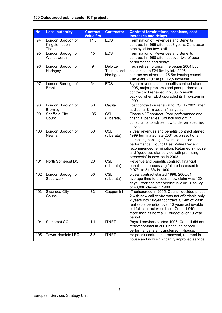| No. | <b>Local authority</b>                              | <b>Contract</b><br><b>Value £m</b> | <b>Contractor</b>                          | <b>Contract terminations, problems, cost</b><br>increases and delays                                                                                                                                                                                                                                         |
|-----|-----------------------------------------------------|------------------------------------|--------------------------------------------|--------------------------------------------------------------------------------------------------------------------------------------------------------------------------------------------------------------------------------------------------------------------------------------------------------------|
| 94  | London Borough of<br>Kingston upon<br><b>Thames</b> | 17.5                               | <b>EDS</b>                                 | <b>Termination of Revenues and Benefits</b><br>contract in 1999 after just 3 years. Contractor<br>employed too few staff.                                                                                                                                                                                    |
| 95  | London Borough of<br>Wandsworth                     | 15                                 | <b>EDS</b>                                 | <b>Termination of Revenues and Benefits</b><br>contract in 1998 after just over two of poor<br>performance and delays.                                                                                                                                                                                       |
| 96  | London Borough of<br>Haringey                       | $\boldsymbol{9}$                   | <b>Deloitte</b><br>Touche and<br>Northgate | Tech refresh programme began 2004 but<br>costs rose to £24.9m by late 2005,<br>contractors absorbed £5.5m leaving council<br>with extra £10.1m (a 112% increase).                                                                                                                                            |
| 97  | London Borough of<br><b>Brent</b>                   | 54                                 | <b>EDS</b>                                 | 8 year revenues and benefits contract started<br>1995, major problems and poor performance,<br>contract not renewed in 2003. 5 month<br>backlog when EDS upgraded its IT system in<br>1999.                                                                                                                  |
| 98  | London Borough of<br><b>Bromley</b>                 | 50                                 | Capita                                     | Lost contract on renewal to CSL In 2002 after<br>additional £1m cost in final year.                                                                                                                                                                                                                          |
| 99  | Sheffield City<br>Council                           | 135                                | $\overline{\text{CSL}}$<br>(Liberata)      | Financial/IT contract. Poor performance and<br>financial penalties. Council brought in<br>consultants to advise how to deliver specified<br>service.                                                                                                                                                         |
| 100 | London Borough of<br>Newham                         | 50                                 | $\overline{\text{CSL}}$<br>(Liberata)      | 7 year revenues and benefits contract started<br>1999 terminated late 2001 as a result of an<br>increasing backlog of claims and poor<br>performance. Council Best Value Review<br>recommended termination. Returned in-house<br>and "good two star service with promising<br>prospects" inspection in 2003. |
| 101 | North Somerset DC                                   | 20                                 | $\overline{\text{CSL}}$<br>(Liberata)      | Revenue and benefits contract, financial<br>penalties - processing failure increased from<br>0.07% to 51.8% in 1999.                                                                                                                                                                                         |
| 102 | London Borough of<br>Southwark                      | 50                                 | $\overline{\text{CSL}}$<br>(Liberata)      | 5 year contract started 1998. 2000/01<br>average time to process new claim was 120<br>days. Poor one star service in 2001. Backlog<br>of 40,000 claims in 1999.                                                                                                                                              |
| 103 | Swansea City<br>Council                             | 83                                 | Capgemini                                  | IT outsourced in 2005. Council decided phase<br>2 with new call centre was not affordable only<br>2 years into 10-year contract. £7.4m of 'cash<br>realisable benefits' over 10 years achievable<br>but full contract would cost Council £40m<br>more than its normal IT budget over 10 year<br>period.      |
| 104 | Somerset CC                                         | 4.4                                | <b>ITNET</b>                               | Payroll services started 1996. Council did not<br>renew contract in 2001 because of poor<br>performance, staff transferred in-house.                                                                                                                                                                         |
| 105 | <b>Tower Hamlets LBC</b>                            | 3.5                                | <b>ITNET</b>                               | Helpdesk contract not renewed, returned in-<br>house and now significantly improved service.                                                                                                                                                                                                                 |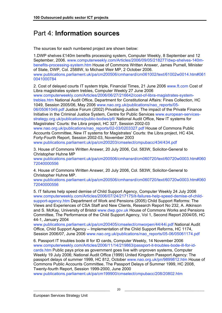## Part 4: **Information sources**

The sources for each numbered project are shown below:

1.DWP shelves £140m benefits processing system, Computer Weekly, 8 September and 12 September, 2006. www.computerweekly.com/Articles/2006/09/05/218277/dwp-shelves-140mbenefits-processing-system.htm House of Commons Written Answer, James Purnell, Minister of State, DWP, Col. 2588W, to Michael Weir MP, 2 October 2006. www.publications.parliament.uk/pa/cm200506/cmhansrd/cm061002/text/61002w0014.htm#061 0041000784

2. Cost of delayed courts IT system triple, Financial Times, 21 June 2006 www.ft.com Cost of Libra magistrates system trebles, Computer Weekly 27 June 2006

www.computerweekly.com/Articles/2006/06/27/216642/cost-of-libra-magistrates-systemtrebles.htm National Audit Office, Department for Constitutional Affairs: Fines Collection, HC 1049, Session 2005/06, May 2006 www.nao.org.uk/publications/nao\_reports/05-

06/05061049.pdf Justice Forum (2002) Privatising Justice: The impact of the Private Finance Initiative in the Criminal Justice System, Centre for Public Services www.european-servicesstrategy.org.uk/publications/public-bodies/pfi/ National Audit Office, New IT systems for Magistrates' Courts: the Libra project, HC 327, Session 2002-03

www.nao.org.uk/publications/nao\_reports/02-03/0203327.pdf House of Commons Public Accounts Committee, New IT systems for Magistrates' Courts: the Libra project, HC 434, Forty-Fourth Report, Session 2002-03, November 2003

www.publications.parliament.uk/pa/cm200203/cmselect/cmpubacc/434/434.pdf

3. House of Commons Written Answer, 20 July 2006, Col. 583W, Solicitor-General to Christopher Huhne MP

www.publications.parliament.uk/pa/cm200506/cmhansrd/cm060720/text/60720w0003.htm#060 72040000556

4. House of Commons Written Answer, 20 July 2006, Col. 583W, Solicitor-General to Christopher Huhne MP.

www.publications.parliament.uk/pa/cm200506/cmhansrd/cm060720/text/60720w0003.htm#060 72040000556

5. IT failures help speed demise of Child Support Agency, Computer Weekly 24 July 2006 www.computerweekly.com/Articles/2006/07/24/217175/it-failures-help-speed-demise-of-childsupport-agency.htm Department of Work and Pensions (2005) Child Support Reforms: The Views and Experiences of CSA Staff and New Clients, Research Report No 232, A. Atkinson and S. McKay, University of Bristol www.dwp.gov.uk House of Commons Works and Pensions Committee, The Performance of the Child Support Agency, Vol 1, Second Report 2004/05, HC 44-1, January 2004

www.publications.parliament.uk/pa/cm200405/cmselect/cmworpen/44/44i.pdf National Audit Office, Child Support Agency – Implementation of the Child Support Reforms, HC 1174, Session 2006/07, June 2006 www.nao.org.uk/publications/nao\_reports/05-06/05061174.pdf

6. Passport IT troubles bode ill for ID cards, Computer Weekly, 14 November 2006 www.computerweekly.com/Articles/2006/11/14/219863/passport-it-troubles-bode-ill-for-idcards.htm Public pays price as government goes live with unproven systems, Computer Weekly 19 July 2006; National Audit Office (1999) United Kingdom Passport Agency: The passport delays of summer 1999, HC 812, October www.nao.org.uk/pn/9899812.htm House of Commons Public Accounts Committee, The Passport Delays of Summer 1999, HC 2008, Twenty-fourth Report, Session 1999-2000, June 2000

www.publications.parliament.uk/pa/cm199900/cmselect/cmpubacc/208/20802.htm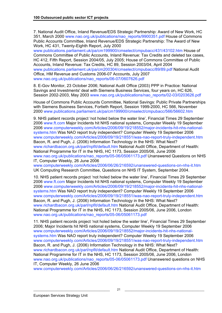7. National Audit Office, Inland Revenue/EDS Strategic Partnership: Award of New Work, HC 351, March 2000 www.nao.org.uk/publications/nao\_reports/9900351.pdf House of Commons Public Accounts Committee, Inland Revenue/EDS Strategic Partnership: The Award of New Work, HC 431, Twenty-Eighth Report, July 2000

www.publications.parliament.uk/pa/cm199900/cmselect/cmpubacc/431/43102.htm House of Commons Committee of Public Accounts, Inland Revenue: Tax Credits and deleted tax cases, HC 412, Fifth Report, Session 2004/05, July 2005; House of Commons Committee of Public Accounts, Inland Revenue: Tax Credits, HC 89, Session 2003/04, April 2004 www.publications.parliament.uk/pa/cm200304/cmselect/cmpubacc/89/89.pdf National Audit Office, HM Revenue and Customs 2006-07 Accounts, July 2007 www.nao.org.uk/publications/nao\_reports/06-07/0607626.pdf

8. E-Gov Monitor, 23 October 2006; National Audit Office (2003) PPP in Practice: National Savings and Investments' deal with Siemens Business Services, four years on, HC 626, Session 2002-2003, May 2003 www.nao.org.uk/publications/nao\_reports/02-03/0203626.pdf

House of Commons Public Accounts Committee, National Savings: Public Private Partnerships with Siemens Business Services, Fortieth Report, Session 1999-2000, HC 566, November 2000 www.publications.parliament.uk/pa/cm199900/cmselect/cmpubacc/566/56602.htm

9. NHS patient records project 'not holed below the water line', Financial Times 29 September 2006 www.ft.com Major Incidents hit NHS national systems, Computer Weekly 19 September 2006 www.computerweekly.com/Articles/2006/09/19/218552/major-incidents-hit-nhs-nationalsystems.htm Was NAO report truly independent? Computer Weekly 19 September 2006 www.computerweekly.com/Articles/2006/09/19/218551/was-nao-report-truly-independent.htm Bacon, R. and Pugh, J. (2006) Information Technology in the NHS: What Next? www.richardbacon.org.uk/parl/npfit/default.htm National Audit Office, Department of Health: National Programme for IT in the NHS, HC 1173, Session 2005/06, June 2006 www.nao.org.uk/publications/nao\_reports/05-06/05061173.pdf Unanswered Questions on NHS IT, Computer Weekly, 26 June 2006

www.computerweekly.com/Articles/2006/06/26/216592/unanswered-questions-on-nhs-it.htm UK Computing Research Committee, Questions on NHS IT System, September 2004.

10. NHS patient records project 'not holed below the water line', Financial Times 29 September 2006 www.ft.com Major Incidents hit NHS national systems, Computer Weekly 19 September 2006 www.computerweekly.com/Articles/2006/09/19/218552/major-incidents-hit-nhs-nationalsystems.htm Was NAO report truly independent? Computer Weekly 19 September 2006 www.computerweekly.com/Articles/2006/09/19/218551/was-nao-report-truly-independent.htm Bacon, R. and Pugh, J. (2006) Information Technology in the NHS: What Next? www.richardbacon.org.uk/parl/npfit/default.htm National Audit Office, Department of Health: National Programme for IT in the NHS, HC 1173, Session 2005/06, June 2006, London www.nao.org.uk/publications/nao\_reports/05-06/05061173.pdf

11. NHS patient records project 'not holed below the water line', Financial Times 29 September 2006; Major Incidents hit NHS national systems, Computer Weekly 19 September 2006 www.computerweekly.com/Articles/2006/09/19/218552/major-incidents-hit-nhs-nationalsystems.htm Was NAO report truly independent? Computer Weekly 19 September 2006 www.computerweekly.com/Articles/2006/09/19/218551/was-nao-report-truly-independent.htm Bacon, R. and Pugh, J. (2006) Information Technology in the NHS: What Next? www.richardbacon.org.uk/parl/npfit/default.htm National Audit Office, Department of Health: National Programme for IT in the NHS, HC 1173, Session 2005/06, June 2006, London www.nao.org.uk/publications/nao\_reports/05-06/05061173.pdf Unanswered questions on NHS IT, Computer Weekly, 26 June 2006

www.computerweekly.com/Articles/2006/06/26/216592/unanswered-questions-on-nhs-it.htm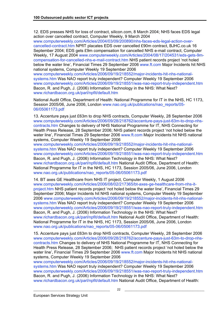12. EDS presses NHS for loss of contract, silicon.com, 8 March 2004; NHS faces EDS legal action over cancelled contract, Computer Weekly, 9 March 2004

www.computerweekly.com/Articles/2004/03/09/200890/nhs-faces-eds-legal-action-overcancelled-contract.htm NPfIT placates EDS over cancelled £90m contract, BJHC.co.uk 16 September 2004; EDS gets £9m compensation for cancelled NHS e-mail contract, Computer Weekly, 17 August 2004 www.computerweekly.com/Articles/2004/08/17/204531/eds-gets-9mcompensation-for-cancelled-nhs-e-mail-contract.htm NHS patient records project 'not holed below the water line', Financial Times 29 September 2006 www.ft.com Major Incidents hit NHS national systems, Computer Weekly 19 September 2006

www.computerweekly.com/Articles/2006/09/19/218552/major-incidents-hit-nhs-nationalsystems.htm Was NAO report truly independent? Computer Weekly 19 September 2006 www.computerweekly.com/Articles/2006/09/19/218551/was-nao-report-truly-independent.htm Bacon, R. and Pugh, J. (2006) Information Technology in the NHS: What Next? www.richardbacon.org.uk/parl/npfit/default.htm

National Audit Office, Department of Health: National Programme for IT in the NHS, HC 1173, Session 2005/06, June 2006, London www.nao.org.uk/publications/nao\_reports/05-06/05061173.pdf

13. Accenture pays just £63m to drop NHS contracts, Computer Weekly, 28 September 2006 www.computerweekly.com/Articles/2006/09/28/218762/accenture-pays-just-63m-to-drop-nhscontracts.htm Changes to delivery of NHS National Programme for IT, NHS Connecting for Health Press Release, 28 September 2006; NHS patient records project 'not holed below the water line', Financial Times 29 September 2006 www.ft.com Major Incidents hit NHS national systems, Computer Weekly 19 September 2006

www.computerweekly.com/Articles/2006/09/19/218552/major-incidents-hit-nhs-nationalsystems.htm Was NAO report truly independent? Computer Weekly 19 September 2006 www.computerweekly.com/Articles/2006/09/19/218551/was-nao-report-truly-independent.htm Bacon, R. and Pugh, J. (2006) Information Technology in the NHS: What Next? www.richardbacon.org.uk/parl/npfit/default.htm National Audit Office, Department of Health: National Programme for IT in the NHS, HC 1173, Session 2005/06, June 2006, London www.nao.org.uk/publications/nao\_reports/05-06/05061173.pdf

14. BT axes GE Healthcare from NHS IT project, Computer Weekly, 1 August 2006 www.computerweekly.com/Articles/2006/08/02/217365/bt-axes-ge-healthcare-from-nhs-itproject.htm NHS patient records project 'not holed below the water line', Financial Times 29 September 2006; Major Incidents hit NHS national systems, Computer Weekly 19 September 2006 www.computerweekly.com/Articles/2006/09/19/218552/major-incidents-hit-nhs-nationalsystems.htm Was NAO report truly independent? Computer Weekly 19 September 2006 www.computerweekly.com/Articles/2006/09/19/218551/was-nao-report-truly-independent.htm Bacon, R. and Pugh, J. (2006) Information Technology in the NHS: What Next? www.richardbacon.org.uk/parl/npfit/default.htm National Audit Office, Department of Health: National Programme for IT in the NHS, HC 1173, Session 2005/06, June 2006, London www.nao.org.uk/publications/nao\_reports/05-06/05061173.pdf

15. Accenture pays just £63m to drop NHS contracts, Computer Weekly, 28 September 2006 www.computerweekly.com/Articles/2006/09/28/218762/accenture-pays-just-63m-to-drop-nhscontracts.htm Changes to delivery of NHS National Programme for IT, NHS Connecting for Health Press Release, 28 September 2006; NHS patient records project 'not holed below the water line', Financial Times 29 September 2006 www.ft.com Major Incidents hit NHS national systems, Computer Weekly 19 September 2006

www.computerweekly.com/Articles/2006/09/19/218552/major-incidents-hit-nhs-nationalsystems.htm Was NAO report truly independent? Computer Weekly 19 September 2006 www.computerweekly.com/Articles/2006/09/19/218551/was-nao-report-truly-independent.htm Bacon, R. and Pugh, J. (2006) Information Technology in the NHS: What Next? www.richardbacon.org.uk/parl/npfit/default.htm National Audit Office, Department of Health: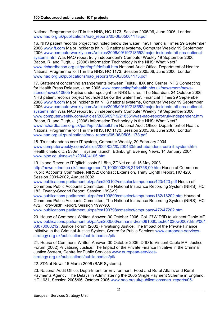National Programme for IT in the NHS, HC 1173, Session 2005/06, June 2006, London www.nao.org.uk/publications/nao\_reports/05-06/05061173.pdf

16. NHS patient records project 'not holed below the water line', Financial Times 29 September 2006 www.ft.com Major Incidents hit NHS national systems, Computer Weekly 19 September 2006 www.computerweekly.com/Articles/2006/09/19/218552/major-incidents-hit-nhs-nationalsystems.htm Was NAO report truly independent? Computer Weekly 19 September 2006 Bacon, R. and Pugh, J. (2006) Information Technology in the NHS: What Next? www.richardbacon.org.uk/parl/npfit/default.htm National Audit Office, Department of Health: National Programme for IT in the NHS, HC 1173, Session 2005/06, June 2006, London www.nao.org.uk/publications/nao\_reports/05-06/05061173.pdf

17. Statement concerning arrangements between Fujitsu, IDX and Cerner, NHS Connecting for Health Press Release, June 2005 www.connectingforhealth.nhs.uk/newsroom/newsstories/news010605 Fujitsu under spotlight for NHS failures, The Guardian, 24 October 2006; NHS patient records project 'not holed below the water line', Financial Times 29 September 2006 www.ft.com Major Incidents hit NHS national systems, Computer Weekly 19 September 2006 www.computerweekly.com/Articles/2006/09/19/218552/major-incidents-hit-nhs-nationalsystems.htm Was NAO report truly independent? Computer Weekly 19 September 2006 www.computerweekly.com/Articles/2006/09/19/218551/was-nao-report-truly-independent.htm Bacon, R. and Pugh, J. (2006) Information Technology in the NHS: What Next? www.richardbacon.org.uk/parl/npfit/default.htm National Audit Office, Department of Health: National Programme for IT in the NHS, HC 1173, Session 2005/06, June 2006, London www.nao.org.uk/publications/nao\_reports/05-06/05061173.pdf

18. Trust abandons core IT system, Computer Weekly, 20 February 2004 www.computerweekly.com/Articles/2004/02/20/200430/trust-abandons-core-it-system.htm Health chiefs ditch £30m IT system launch, Edinburgh Evening News, 14 January 2004 www.bjhc.co.uk/news/1/2004/j4105.htm

19. Inland Revenue IT 'glitch' costs £1.5bn, ZDNet.co.uk 15 May 2003 http://news.zdnet.co.uk/itmanagement/0,1000000308,2134758,00.htm House of Commons Public Accounts Committee, NIRS2: Contract Extension, Thirty Eighth Report, HC 423, Session 2001-2002, August 2002

www.publications.parliament.uk/pa/cm200102/cmselect/cmpubacc/423/423.pdf House of Commons Public Accounts Committee, The National Insurance Recording System (NIRS), HC 182, Twenty-Second Report, Session 1998-99

www.publications.parliament.uk/pa/cm199899/cmselect/cmpubacc/182/18202.htm House of Commons Public Accounts Committee, The National Insurance Recording System (NIRS), HC 472, Forty-Sixth Report, Session 1997-98.

www.publications.parliament.uk/pa/cm199798/cmselect/cmpubacc/472/47202.htm

20. House of Commons Written Answer, 30 October 2006, Col. 27W DfID to Vincent Cable MP www.publications.parliament.uk/pa/cm200506/cmhansrd/cm061030/text/61030w0007.htm#061 03073000212; Justice Forum (2002) Privatising Justice: The Impact of the Private Finance Initiative in the Criminal Justice System, Centre for Public Services www.european-servicesstrategy.org.uk/publications/public-bodies/pfi/

21. House of Commons Written Answer, 30 October 2006, DfID to Vincent Cable MP; Justice Forum (2002) Privatising Justice: The Impact of the Private Finance Initiative in the Criminal Justice System, Centre for Public Services www.european-servicesstrategy.org.uk/publications/public-bodies/pfi/

22. ZDNet News 15 March 2006 (BAE Systems).

23. National Audit Office, Department for Environment, Food and Rural Affairs and Rural Payments Agency, The Delays in Administering the 2005 Single Payment Scheme in England, HC 1631, Session 2005/06, October 2006 www.nao.org.uk/publications/nao\_reports/05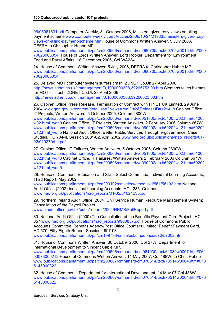06/05061631.pdf Computer Weekly, 31 October 2006, Ministers given rosy views on ailing payment scheme www.computerweekly.com/Articles/2006/10/24/219335/ministers-given-rosyviews-on-ailing-payment-scheme.htm House of Commons Written Answer, 5 July 2006, DEFRA to Chrisopher Huhne MP

www.publications.parliament.uk/pa/cm200506/cmhansrd/cm060705/text/60705w0015.htm#060 70623005054. House of Lords Written Answer, Lord Rooker, Department for Environment, Food and Rural Affairs, 18 December 2006, Col WA234.

24. House of Commons Written Answer, 5 July 2006, DEFRA to Chrisopher Huhne MP. www.publications.parliament.uk/pa/cm200506/cmhansrd/cm060705/text/60705w0015.htm#060 70623005054

25. Delayed MOT computer system suffers crash, ZDNET.Co.Uk 27 April 2006 http://news.zdnet.co.uk/itmanagement/0,1000000308,39265753,00.htm Siemens takes blames for MOT IT crash, ZDNET.Co.Uk 28 April 2006 http://news.zdnet.co.uk/itmanagement/0,1000000308,39266023,00.htm

26. Cabinet Office Press Release, Termination of Contract with ITNET UK Limited, 29 June 2004 www.gnn.gov.uk/content/detail.asp?NewsAreaID=2&ReleaseID=121418 Cabinet Office IT Projects, Written Answers, 5 October 2005, Column 2800W

www.publications.parliament.uk/pa/cm200506/cmhansrd/vo051005/text/51005w02.htm#51005 w02.html\_wqn0 Cabinet Office, IT Projects, Written Answers, 2 February 2006 Column 667W www.publications.parliament.uk/pa/cm200506/cmhansrd/vo060202/text/60202w12.htm#60202 w12.html\_wgn5 National Audit Office, Better Public Services Through e-governance: Case Studies, HC 704-II, Session 2001/02, April 2002 www.nao.org.uk/publications/nao\_reports/01-02/0102704-II.pdf

27. Cabinet Office, IT Failures, Written Answers, 5 October 2005, Column 2800W. www.publications.parliament.uk/pa/cm200506/cmhansrd/vo051005/text/51005w02.htm#51005 w02.html\_wqn0 Cabinet Office, IT Failures, Written Answers 2 February 2006 Column 667W. www.publications.parliament.uk/pa/cm200506/cmhansrd/vo060202/text/60202w12.htm#60202 w12.html wqn5

28. House of Commons Education and Skills Select Committee, Individual Learning Accounts, Third Report, May 2002

www.publications.parliament.uk/pa/cm200102/cmselect/cmeduski/561/56102.htm National Audit Office (2002) Individual Learning Accounts, HC 1235, October. www.nao.org.uk/publications/nao\_reports/01-02/01021235.pdf

29. Northern Ireland Audit Office (2004) Civil Service Human Resource Management System: Cancellation of the Payroll Project

www.niauditoffice.gov.uk/pubs/reports/2004/HRMS/FullReport.pdf

30. National Audit Office (2000) The Cancellation of the Benefits Payment Card Project , HC 857 www.nao.org.uk/publications/nao\_reports/9900857.pdf House of Commons Public Accounts Committee, Benefits Agency/Post Office Counters Limited: Benefit Payment Card, HC 570, Fifty Eighth Report, Session 1997-98 www.publications.parliament.uk/pa/cm199798/cmselect/cmpubacc/570/57002.htm

31. House of Commons Written Answer, 30 October 2006, Col 27W, Department for

International Development to Vincent Cable MP. www.publications.parliament.uk/pa/cm200506/cmhansrd/cm061030/text/61030w0007.htm#061 03073000212 House of Commons Written Answer, 14 May 2007, Col 488W, to Chris Huhne www.publications.parliament.uk/pa/cm200607/cmhansrd/cm070514/text/70514w0004.htm#070 5145000822

32. House of Commons, Department for International Development, 14 May 07 Col 488W www.publications.parliament.uk/pa/cm200607/cmhansrd/cm070514/text/70514w0004.htm#070 5145000822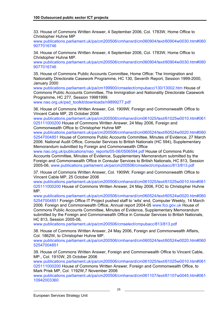33. House of Commons Written Answer, 4 September 2006, Col. 1783W, Home Office to Christopher Huhne MP

www.publications.parliament.uk/pa/cm200506/cmhansrd/cm060904/text/60904w0030.htm#060 9077016746

34. House of Commons Written Answer, 4 September 2006, Col. 1783W, Home Office to Christopher Huhne MP.

www.publications.parliament.uk/pa/cm200506/cmhansrd/cm060904/text/60904w0030.htm#060 9077016746

35. House of Commons Public Accounts Committee, Home Office: The Immigration and Nationality Directorate Casework Programme, HC 130, Seventh Report, Session 1999-2000, January 2000

www.publications.parliament.uk/pa/cm199900/cmselect/cmpubacc/130/13002.htm House of Commons Public Accounts Committee, The Immigration and Nationality Directorate Casework Programme, HC 277, Session 19981999.

www.nao.org.uk/psd\_toolkit/downloads/n9899277.pdf

36. House of Commons Written Answer, Col. 1909W, Foreign and Commonwealth Office to Vincent Cable MP, 25 October 2006

www.publications.parliament.uk/pa/cm200506/cmhansrd/cm061025/text/61025w0010.htm#061 025111000200 House of Commons Written Answer, 24 May 2006, Foreign and Commonwealth Office to Christopher Huhne MP

www.publications.parliament.uk/pa/cm200506/cmhansrd/cm060524/text/60524w0020.htm#060 52547004851 House of Commons Public Accounts Committee, Minutes of Evidence, 27 March 2006. National Audit Office, Consular Services to British Nationals (HC 594), Supplementary Memorandum submitted by Foreign and Commonwealth Office

www.nao.org.uk/publications/nao\_reports/05-06/0506594.pdf House of Commons Public Accounts Committee, Minutes of Evidence, Supplementary Memorandum submitted by the Foreign and Commonwealth Office in Consular Services to British Nationals, HC 813, Session 2005-06, www.publications.parliament.uk/pa/cm200506/cmselect/cmpubacc/813/813.pdf

37. House of Commons Written Answer, Col. 1909W, Foreign and Commonwealth Office to Vincent Cable MP, 25 October 2006

www.publications.parliament.uk/pa/cm200506/cmhansrd/cm061025/text/61025w0010.htm#061 025111000200 House of Commons Written Answer, 24 May 2006, FOC to Christopher Huhne MP.

www.publications.parliament.uk/pa/cm200506/cmhansrd/cm060524/text/60524w0020.htm#060 52547004851 Foreign Office IT Project pushed staff to 'wits' end, Computer Weekly, 14 March 2006. Foreign and Commonwealth Office, Annual report 2004-05 www.fco.gov.uk House of Commons Public Accounts Committee, Minutes of Evidence, Supplementary Memorandum submitted by the Foreign and Commonwealth Office in Consular Services to British Nationals, HC 813, Session 2005-06,

www.publications.parliament.uk/pa/cm200506/cmselect/cmpubacc/813/813.pdf

38. House of Commons Written Answer, 24 May 2006, Foreign and Commonwealth Affairs, Col. 1862W, to Christopher Huhne MP.

www.publications.parliament.uk/pa/cm200506/cmhansrd/cm060524/text/60524w0020.htm#060 52547004851

39. House of Commons Written Answer, Foreign and Commonwealth Office to Vincent Cable, MP., Col. 1910W, 25 October 2006

www.publications.parliament.uk/pa/cm200506/cmhansrd/cm061025/text/61025w0010.htm#061 025111000200 House of Commons Written Answer, Foreign and Commonwealth Office, to Mark Prisk MP, Col. 1192W,7 November 2006

www.publications.parliament.uk/pa/cm200506/cmhansrd/cm061107/text/61107w0045.htm#061 10942003360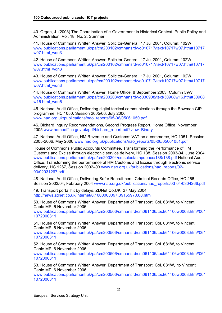40. Organ, J. (2003) The Coordination of e-Government in Historical Context, Public Policy and Administration, Vol. 18, No. 2, Summer.

41. House of Commons Written Answer, Solicitor-General, 17 Jul 2001, Column: 102W www.publications.parliament.uk/pa/cm200102/cmhansrd/vo010717/text/10717w07.htm#10717 w07.html\_wqn3

42. House of Commons Written Answer, Solicitor-General, 17 Jul 2001, Column: 102W www.publications.parliament.uk/pa/cm200102/cmhansrd/vo010717/text/10717w07.htm#10717 w07.html\_wqn3

43. House of Commons Written Answer, Solicitor-General, 17 Jul 2001, Column: 102W www.publications.parliament.uk/pa/cm200102/cmhansrd/vo010717/text/10717w07.htm#10717 w07.html\_wqn3

44. House of Commons Written Answer, Home Office, 8 September 2003, Column 59W www.publications.parliament.uk/pa/cm200203/cmhansrd/vo030908/text/30908w16.htm#30908 w16.html\_wqn6

45. National Audit Office, Delivering digital tactical communications through the Bowman CIP programme, HC 1050, Session 2005/06, July 2006. www.nao.org.uk/publications/nao\_reports/05-06/05061050.pdf

46. Bichard Inquiry Recommendations, Second Progress Report, Home Office, November 2005 www.homeoffice.gov.uk/pdf/bichard\_report.pdf?view=Binary

47. National Audit Office, HM Revenue and Customs: VAT on e-commerce, HC 1051, Session 2005-2006, May 2006 www.nao.org.uk/publications/nao\_reports/05-06/05061051.pdf

House of Commons Public Accounts Committee, Transforming the Performance of HM Customs and Excise through electronic service delivery, HC 138, Session 2003-04, June 2004 www.publications.parliament.uk/pa/cm200304/cmselect/cmpubacc/138/138.pdf National Audit Office, Transforming the performance of HM Customs and Excise through electronic service delivery, HC 1267, Session 2002–03 www.nao.org.uk/publications/nao\_reports/02-03/02031267.pdf

48. National Audit Office, Delivering Safer Recruitment, Criminal Records Office, HC 266, Session 2003/04, February 2004 www.nao.org.uk/publications/nao\_reports/03-04/0304266.pdf

49. Transport portal hit by delays, ZDNet.Co.UK, 27 May 2004 http://news.zdnet.co.uk/internet/0,1000000097,39155970,00.htm

50. House of Commons Written Answer, Department of Transport, Col. 681W, to Vincent Cable MP, 6 November 2006.

www.publications.parliament.uk/pa/cm200506/cmhansrd/cm061106/text/61106w0003.htm#061 1072000311

51. House of Commons Written Answer, Department of Transport, Col. 681W, to Vincent Cable MP, 6 November 2006.

www.publications.parliament.uk/pa/cm200506/cmhansrd/cm061106/text/61106w0003.htm#061 1072000311

52. House of Commons Written Answer, Department of Transport, Col. 681W, to Vincent Cable MP, 6 November 2006.

www.publications.parliament.uk/pa/cm200506/cmhansrd/cm061106/text/61106w0003.htm#061 1072000311

53. House of Commons Written Answer, Department of Transport, Col. 681W, to Vincent Cable MP, 6 November 2006.

www.publications.parliament.uk/pa/cm200506/cmhansrd/cm061106/text/61106w0003.htm#061 1072000311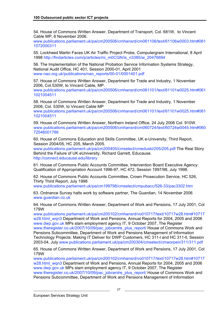54. House of Commons Written Answer, Department of Transport, Col. 681W, to Vincent Cable MP, 6 November 2006.

www.publications.parliament.uk/pa/cm200506/cmhansrd/cm061106/text/61106w0003.htm#061 1072000311

55. Lockheed Martin Faces UK Air Traffic Project Probe, Computergram International, 8 April 1998 http://findarticles.com/p/articles/mi\_m0CGN/is\_n3385/ai\_20476694

56. The Implementation of the National Probation Service Information Systems Strategy, National Audit Office, HC 401, Session 2000-01, April 2001 www.nao.org.uk/publications/nao\_reports/00-01/0001401.pdf

57. House of Commons Written Answer, Department for Trade and Industry, 1 November 2006, Col.530W, to Vincent Cable, MP.

www.publications.parliament.uk/pa/cm200506/cmhansrd/cm061101/text/61101w0025.htm#061 1021004511

58. House of Commons Written Answer, Department for Trade and Industry, 1 November 2006, Col. 530W, to Vincent Cable MP

www.publications.parliament.uk/pa/cm200506/cmhansrd/cm061101/text/61101w0025.htm#061 1021004511

59. House of Commons Written Answer, Northern Ireland Office, 24 July 2006 Col. 910W. www.publications.parliament.uk/pa/cm200506/cmhansrd/cm060724/text/60724w0045.htm#060 72546001786

60. House of Commons Education and Skills Committee, UK e-University, Third Report, Session 2004/05, HC 205, March 2005.

www.publications.parliament.uk/pa/cm200405/cmselect/cmeduski/205/205.pdf The Real Story Behind the Failure of UK eUniversity, Richard Garrett, Educause. http://connect.educause.edu/library

61. House of Commons Public Accounts Committee, Intervention Board Executive Agency: Qualification of Appropriation Account 1996-97, HC 472, Session 1997/98, July 1998.

62. House of Commons Public Accounts Committee, Crown Prosecution Service, HC 526, Thirty Third Report, July 1998

www.publications.parliament.uk/pa/cm199798/cmselect/cmpubacc/526-33/pac3302.htm

63. Ordnance Survey halts work by software partner, The Guardian, 14 November 2006 www.guardian.co.uk

64. House of Commons Written Answer, Department of Work and Pensions, 17 July 2001, Col 179W

www.publications.parliament.uk/pa/cm200102/cmhansrd/vo010717/text/10717w28.htm#10717 w28.html\_wqn3 Department of Work and Pensions, Annual Reports for 2004, 2005 and 2006 www.dwp.gov.uk MPs slam employment agency IT, 9 October 2007, The Register www.theregister.co.uk/2007/10/09/pac\_jobcentre\_plus\_report/ House of Commons Work and Pensions Subcommittee, Department of Work and Pensions Management of Information Technology Projects: Making IT Deliver for DWP Customers, HC 311-l and HC 311-ll, Session 2003-04, July www.publications.parliament.uk/pa/cm200304/cmselect/cmworpen/311/311.pdf

65. House of Commons Written Answer, Department of Work and Pensions, 17 July 2001, Col 179W

www.publications.parliament.uk/pa/cm200102/cmhansrd/vo010717/text/10717w28.htm#10717 w28.html\_wqn3 Department of Work and Pensions, Annual Reports for 2004, 2005 and 2006 www.dwp.gov.uk MPs slam employment agency IT, 9 October 2007, The Register www.theregister.co.uk/2007/10/09/pac\_jobcentre\_plus\_report/ House of Commons Work and Pensions Subcommittee, Department of Work and Pensions Management of Information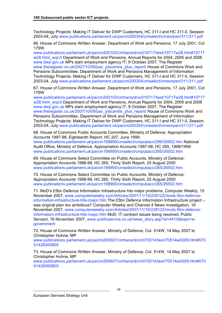Technology Projects: Making IT Deliver for DWP Customers, HC 311-l and HC 311-ll, Session 2003-04, July www.publications.parliament.uk/pa/cm200304/cmselect/cmworpen/311/311.pdf

66. House of Commons Written Answer, Department of Work and Pensions, 17 July 2001, Col 179W

www.publications.parliament.uk/pa/cm200102/cmhansrd/vo010717/text/10717w28.htm#10717 w28.html\_wqn3 Department of Work and Pensions, Annual Reports for 2004, 2005 and 2006 www.dwp.gov.uk MPs slam employment agency IT, 9 October 2007, The Register www.theregister.co.uk/2007/10/09/pac\_jobcentre\_plus\_report/ House of Commons Work and Pensions Subcommittee, Department of Work and Pensions Management of Information Technology Projects: Making IT Deliver for DWP Customers, HC 311-l and HC 311-ll, Session 2003-04, July www.publications.parliament.uk/pa/cm200304/cmselect/cmworpen/311/311.pdf

67. House of Commons Written Answer, Department of Work and Pensions, 17 July 2001, Col 179W

www.publications.parliament.uk/pa/cm200102/cmhansrd/vo010717/text/10717w28.htm#10717 w28.html\_wqn3 Department of Work and Pensions, Annual Reports for 2004, 2005 and 2006 www.dwp.gov.uk MPs slam employment agency IT, 9 October 2007, The Register www.theregister.co.uk/2007/10/09/pac\_jobcentre\_plus\_report/ House of Commons Work and Pensions Subcommittee, Department of Work and Pensions Management of Information Technology Projects: Making IT Deliver for DWP Customers, HC 311-l and HC 311-ll, Session 2003-04, July www.publications.parliament.uk/pa/cm200304/cmselect/cmworpen/311/311.pdf

68. House of Commons Public Accounts Committee, Ministry of Defence: Appropriation Accounts 1997-98, Eighteenth Report, HC 207, June 1999. www.publications.parliament.uk/pa/cm199899/cmselect/cmpubacc/289/28902.htm National Audit Office, Ministry of Defence, Appropriation Accounts 1997-98, HC 265, 1998/1999 www.publications.parliament.uk/pa/cm199900/cmselect/cmpubacc/265/26502.htm

69. House of Commons Select Committee on Public Accounts, Ministry of Defence: Appropriation Accounts 1998-99, HC 265, Thirty Sixth Report, 25 August 2000 www.publications.parliament.uk/pa/cm199900/cmselect/cmpubacc/265/26502.htm

70. House of Commons Select Committee on Public Accounts, Ministry of Defence: Appropriation Accounts 1998-99, HC 265, Thirty Sixth Report, 25 August 2000 www.publications.parliament.uk/pa/cm199900/cmselect/cmpubacc/265/26502.htm

71. MoD's £5bn Defence Information Infrastructure hits major problems, Computer Weekly, 15 November 2007. www.computerweekly.com/Articles/2007/11/19/228122/mods-5bn-defenceinformation-infrastructure-hits-major.htm The £5bn Defence Information Infrastructure project – was original plan too ambitious? Computer Weekly and Channel 4 News investigation, 16 November 2007. www.computerweekly.com/Articles/2007/11/19/228122/mods-5bn-defenceinformation-infrastructure-hits-major.htm MoD: IT contract issues being resolved, Public Servant, 16 November 2007, www.publicservice.co.uk/news\_story.asp?id=4415&topic=egovernment

72. House of Commons Written Answer, Ministry of Defence, Col. 514W, 14 May 2007 to Christopher Huhne, MP

www.publications.parliament.uk/pa/cm200607/cmhansrd/cm070514/text/70514w0009.htm#070 51426000805

73. House of Commons Written Answer, Ministry of Defence, Col. 514W, 14 May 2007 to Christopher Huhne, MP

www.publications.parliament.uk/pa/cm200607/cmhansrd/cm070514/text/70514w0009.htm#070 51426000805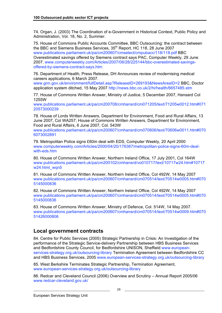74. Organ, J. (2003) The Coordination of e-Government in Historical Context, Public Policy and Administration, Vol. 18, No. 2, Summer.

75. House of Commons Public Accounts Committee, BBC Outsourcing: the contract between the BBC and Siemens Business Services, 35<sup>th</sup> Report, HC 118, 28 June 2007 www.publications.parliament.uk/pa/cm200607/cmselect/cmpubacc/118/118.pdf BBC Overestimated savings offered by Siemens contract says PAC, Computer Weekly, 29 June 2007. www.computerweekly.com/Articles/2007/06/28/225144/bbc-overestimated-savingsoffered-by-siemens-contract-says.htm

76. Department of Health, Press Release, DH Announces review of modernising medical careers applications, 6 March 2007.

www.gnn.gov.uk/environment/fullDetail.asp?ReleaseID=269193&NewsAreaID=2 BBC, Doctor application system ditched, 15 May 2007 http://news.bbc.co.uk/2/hi/health/6657485.stm

77. House of Commons Written Answer, Ministry of Justice, 5 December 2007, Hansard Col 1255W

www.publications.parliament.uk/pa/cm200708/cmhansrd/cm071205/text/71205w0012.htm#071 20573000239

78. House of Lords Written Answers, Department for Environment, Food and Rural Affairs, 13 June 2007, Col WA257; House of Commons Written Answers, Department for Environment, Food and Rural Affairs, 6 June 2007, Col. 543W

www.publications.parliament.uk/pa/cm200607/cmhansrd/cm070606/text/70606w0011.htm#070 6073002891

79. Metropolitan Police signs £60m deal with EDS, Computer Weekly, 20 April 2000 www.computerweekly.com/Articles/2000/04/20/176367/metropolitan-police-signs-60m-dealwith-eds.htm

80. House of Commons Written Answer, Northern Ireland Office, 17 July 2001, Col 164W www.publications.parliament.uk/pa/cm200102/cmhansrd/vo010717/text/10717w24.htm#10717 w<sub>24</sub>.html wqn5

81. House of Commons Written Answer, Northern Ireland Office, Col 492W, 14 May 2007 www.publications.parliament.uk/pa/cm200607/cmhansrd/cm070514/text/70514w0005.htm#070 5145000836

82. House of Commons Written Answer, Northern Ireland Office, Col 492W, 14 May 2007 www.publications.parliament.uk/pa/cm200607/cmhansrd/cm070514/text/70514w0005.htm#070 5145000836

83. House of Commons Written Answer, Ministry of Defence, Col. 514W, 14 May 2007. www.publications.parliament.uk/pa/cm200607/cmhansrd/cm070514/text/70514w0009.htm#070 51426000806

### **Local government contracts**

84. Centre for Public Services (2005) Strategic Partnership in Crisis: An Investigation of the performance of the Strategic Service-delivery Partnership between HBS Business Services and Bedfordshire County Council, for Bedfordshire UNISON, Sheffield www.europeanservices-strategy.org.uk/outsourcing-library Termination Agreement between Bedfordshire CC and HBS Business Services, 2005 www.european-services-strategy.org.uk/outsourcing-library

85. West Berkshire Terminates Strategic Partnership, Termination Agreement, www.european-services-strategy.org.uk/outsourcing-library

86. Redcar and Cleveland Council (2006) Overview and Scrutiny – Annual Report 2005/06 www.redcar-cleveland.gov.uk/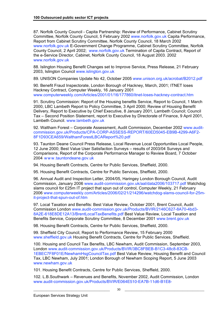87. Norfolk County Council - Capita Partnership: Review of Performance, Cabinet Scrutiny Committee, Norfolk County Council, 5 February 2002 www.norfolk.gov.uk Capita Performance, Report from Cabinet Scrutiny Committee, Norfolk County Council, 18 March 2002 www.norfolk.gov.uk E-Government Change Programme, Cabinet Scrutiny Committee, Norfolk County Council, 2 April 2002; www.norfolk.gov.uk Termination of Capita Contract, Report of the e-Service Director, Cabinet, Norfolk County Council, 18 August 2003. 2002 www.norfolk.gov.uk

88. Islington Housing Benefit Changes set to Improve Service, Press Release, 21 February 2003, Islington Council www.islington.gov.uk

89. UNISON Companies Update No 42, October 2005 www.unison.org.uk/acrobat/B2012.pdf

90. Benefit Fraud Inspectorate, London Borough of Hackney, March, 2001; ITNET loses Hackney Contract, Computer Weekly, 16 January 2001 www.computerweekly.com/Articles/2001/01/16/177860/itnet-loses-hackney-contract.htm

91. Scrutiny Commission: Report of the Housing benefits Service, Report to Council, 1 March 2000, LBC Lambeth Report to Policy Committee, 3 April 2000; Review of Housing Benefit Delivery, Report to Executive by Chief Executive, 8 January 2001, Lambeth Council; Council Tax – Second Position Statement, report to Executive by Directorate of Finance, 9 April 2001, Lambeth Council. www.lambeth.gov.uk

92. Waltham Forest - Corporate Assessment, Audit Commission, December 2002 www.auditcommission.gov.uk/Products/CPA-CORP-ASSESS-REPORT/60ED5045-EB9B-4299-A6F2- 8F1D93CEA659/WalthamForestLBCAReport%20.pdf

93. Taunton Deane Council Press Release, Local Revenue Local Opportunities Local People, 12 June 2000; Best Value User Satisfaction Surveys – results of 2003/04 Surveys and Comparisons, Report of the Corporate Performance Manager to Review Board, 7 October 2004 w w w.tauntondeane.gov.uk

94. Housing Benefit Contracts, Centre for Public Services, Sheffield, 2000.

95. Housing Benefit Contracts, Centre for Public Services, Sheffield, 2000.

96. Annual Audit and Inspection Letter, 2004/05, Haringey London Borough Council, Audit Commission, January 2006 www.audit-commission.gov.uk/aal/data2006/103717.pdf Watchdog slams council for £25m IT project that spun out of control, Computer Weekly, 21 February 2006 www.computerweekly.com/Articles/2006/02/21/214296/watchdog-slams-council-for-25mit-project-that-spun-out-of.htm

97. Local Taxation and Benefits: Best Value Review, October 2001, Brent Council, Audit Commission London www.audit-commission.gov.uk/Products/BVIR/2146C627-8A70-4bd3- 8A2E-618E8DE12A13/BrentLocalTaxBenefits.pdf Best Value Review, Local Taxation and Benefits Service, Corporate Scrutiny Committee, 8 December 2001 www.brent.gov.uk

98. Housing Benefit Contracts, Centre for Public Services, Sheffield, 2000.

99. Sheffield City Council, Report to Performance Review, 15 February 2000 www.sheffield.gov.uk Housing Benefit Contracts, Centre for Public Services, Sheffield.

100. Housing and Council Tax Benefits, LBC Newham, Audit Commission, September 2003, London www.audit-commission.gov.uk/Products/BVIR/3BC8FBEB-B1C3-48c8-83CB-1EBEC7F8F01E/NewhamHsgCouncilTax.pdf Best Value Review, Housing Benefit and Council Tax, LBC Newham, July 2001; London Borough of Newham Scoping Report, 5 June 2003 www.newham.gov.uk

101. Housing Benefit Contracts, Centre for Public Services, Sheffield, 2000.

102. L.B.Southwark – Revenues and Benefits, November 2002, Audit Commission, London www.audit-commission.gov.uk/Products/BVIR/E064E510-EA7B-11d6-B1E8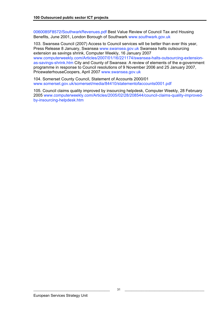0060085F8572/SouthwarkRevenues.pdf Best Value Review of Council Tax and Housing Benefits, June 2001, London Borough of Southwark www.southwark.gov.uk

103. Swansea Council (2007) Access to Council services will be better than ever this year, Press Release 8 January, Swansea www.swansea.gov.uk Swansea halts outsourcing extension as savings shrink, Computer Weekly, 16 January 2007 www.computerweekly.com/Articles/2007/01/16/221174/swansea-halts-outsourcing-extensionas-savings-shrink.htm City and County of Swansea: A review of elements of the e-government programme in response to Council resolutions of 9 November 2006 and 25 January 2007, PricewaterhouseCoopers, April 2007 www.swansea.gov.uk

104. Somerset County Council, Statement of Accounts 2000/01 www.somerset.gov.uk/somerset/media/84410/statementofaccounts0001.pdf

105. Council claims quality improved by insourcing helpdesk, Computer Weekly, 28 February 2005 www.computerweekly.com/Articles/2005/02/28/208544/council-claims-quality-improvedby-insourcing-helpdesk.htm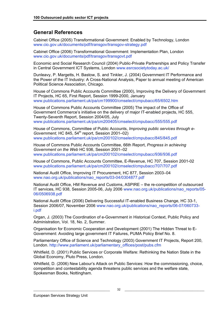### **General References**

Cabinet Office (2005) Transformational Government: Enabled by Technology, London www.cio.gov.uk/documents/pdf/transgov/transgov-strategy.pdf

Cabinet Office (2006) Transformational Government: Implementation Plan, London www.cio.gov.uk/documents/pdf/transgov/transgovt.pdf

Economic and Social Research Council (2004) Public-Private Partnerships and Policy Transfer in Central Government ICT Systems, London www.esrcsocietytoday.ac.uk/

Dunleavy, P. Margetts, H. Bastow, S. and Tinkler, J. (2004) Government IT Performance and the Power of the IT Industry: A Cross-National Analysis, Paper to annual meeting of American Political Science Association, Chicago.

House of Commons Public Accounts Committee (2000), Improving the Delivery of Government IT Projects, HC 65, First Report, Session 1999-2000, January www.publications.parliament.uk/pa/cm199900/cmselect/cmpubacc/65/6502.htm

House of Commons Public Accounts Committee (2005) The impact of the Office of Government Commerce's initiative on the delivery of major IT-enabled projects, HC 555, Twenty-Seventh Report, Session 2004/05, July www.publications.parliament.uk/pa/cm200405/cmselect/cmpubacc/555/555.pdf

House of Commons, Committee of Public Accounts, *Improving public services through e-Government, HC 845, 54<sup>th</sup> report, Session 2001–02)* www.publications.parliament.uk/pa/cm200102/cmselect/cmpubacc/845/845.pdf

House of Commons Public Accounts Committee, 66th Report, *Progress in achieving Government on the Web* HC 936, Session 2001–02 www.publications.parliament.uk/pa/cm200102/cmselect/cmpubacc/936/936.pdf

House of Commons, Public Accounts Committee, E-Revenue, HC 707, Session 2001-02 www.publications.parliament.uk/pa/cm200102/cmselect/cmpubacc/707/707.pdf

National Audit Office, Improving IT Procurement, HC 877, Session 2003–04 www.nao.org.uk/publications/nao\_reports/03-04/0304877.pdf

National Audit Office, HM Revenue and Customs, ASPIRE – the re-competition of outsourced IT services, HC 938, Session 2005-06, July 2006 www.nao.org.uk/publications/nao\_reports/05- 06/0506938.pdf

National Audit Office (2006) Delivering Successful IT-enabled Business Change, HC 33-1, Session 2006/07, November 2006 www.nao.org.uk/publications/nao\_reports/06-07/060733 i.pdf

Organ, J. (2003) The Coordination of e-Government in Historical Context, Public Policy and Administration, Vol. 18, No. 2, Summer.

Organisation for Economic Cooperation and Development (2001) The Hidden Threat to E-Government: Avoiding large government IT Failures, PUMA Policy Brief No. 8.

Parliamentary Office of Science and Technology (2003) Government IT Projects, Report 200, London. http://www.parliament.uk/parliamentary\_offices/post/pubs.cfm

Whitfield, D. (2001) Public Services or Corporate Welfare: Rethinking the Nation State in the Global Economy, Pluto Press, London.

Whitfield, D. (2006) New Labour's Attack on Public Services: How the commissioning, choice, competition and contestability agenda threatens public services and the welfare state, Spokesman Books, Nottingham.